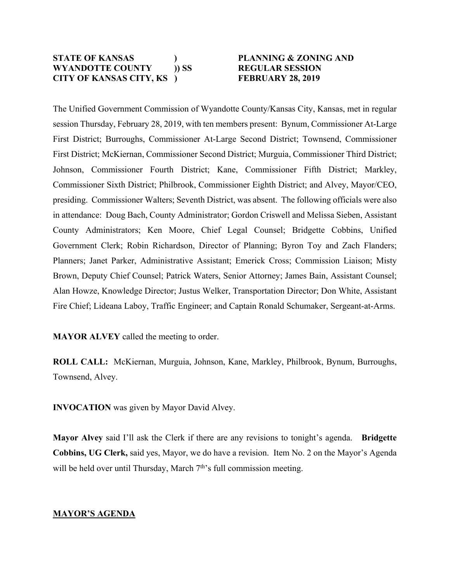### **STATE OF KANSAS ) PLANNING & ZONING AND WYANDOTTE COUNTY )) SS REGULAR SESSION CITY OF KANSAS CITY, KS ) FEBRUARY 28, 2019**

The Unified Government Commission of Wyandotte County/Kansas City, Kansas, met in regular session Thursday, February 28, 2019, with ten members present: Bynum, Commissioner At-Large First District; Burroughs, Commissioner At-Large Second District; Townsend, Commissioner First District; McKiernan, Commissioner Second District; Murguia, Commissioner Third District; Johnson, Commissioner Fourth District; Kane, Commissioner Fifth District; Markley, Commissioner Sixth District; Philbrook, Commissioner Eighth District; and Alvey, Mayor/CEO, presiding. Commissioner Walters; Seventh District, was absent. The following officials were also in attendance: Doug Bach, County Administrator; Gordon Criswell and Melissa Sieben, Assistant County Administrators; Ken Moore, Chief Legal Counsel; Bridgette Cobbins, Unified Government Clerk; Robin Richardson, Director of Planning; Byron Toy and Zach Flanders; Planners; Janet Parker, Administrative Assistant; Emerick Cross; Commission Liaison; Misty Brown, Deputy Chief Counsel; Patrick Waters, Senior Attorney; James Bain, Assistant Counsel; Alan Howze, Knowledge Director; Justus Welker, Transportation Director; Don White, Assistant Fire Chief; Lideana Laboy, Traffic Engineer; and Captain Ronald Schumaker, Sergeant-at-Arms.

**MAYOR ALVEY** called the meeting to order.

**ROLL CALL:** McKiernan, Murguia, Johnson, Kane, Markley, Philbrook, Bynum, Burroughs, Townsend, Alvey.

**INVOCATION** was given by Mayor David Alvey.

**Mayor Alvey** said I'll ask the Clerk if there are any revisions to tonight's agenda. **Bridgette Cobbins, UG Clerk,** said yes, Mayor, we do have a revision. Item No. 2 on the Mayor's Agenda will be held over until Thursday, March  $7<sup>th</sup>$ 's full commission meeting.

# **MAYOR'S AGENDA**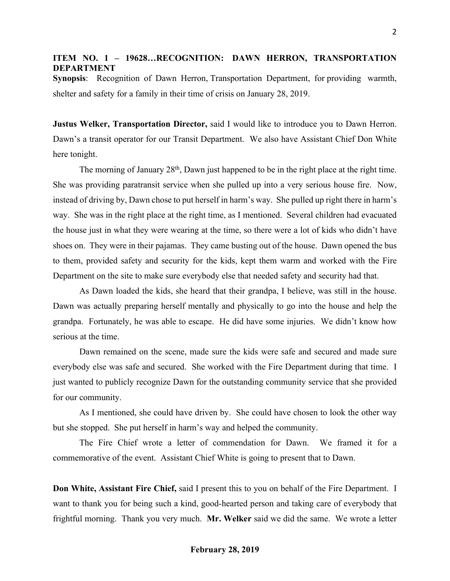### **ITEM NO. 1 – 19628…RECOGNITION: DAWN HERRON, TRANSPORTATION DEPARTMENT**

**Synopsis**: Recognition of Dawn Herron, Transportation Department, for providing warmth, shelter and safety for a family in their time of crisis on January 28, 2019.

**Justus Welker, Transportation Director,** said I would like to introduce you to Dawn Herron. Dawn's a transit operator for our Transit Department. We also have Assistant Chief Don White here tonight.

The morning of January 28<sup>th</sup>, Dawn just happened to be in the right place at the right time. She was providing paratransit service when she pulled up into a very serious house fire. Now, instead of driving by, Dawn chose to put herself in harm's way. She pulled up right there in harm's way. She was in the right place at the right time, as I mentioned. Several children had evacuated the house just in what they were wearing at the time, so there were a lot of kids who didn't have shoes on. They were in their pajamas. They came busting out of the house. Dawn opened the bus to them, provided safety and security for the kids, kept them warm and worked with the Fire Department on the site to make sure everybody else that needed safety and security had that.

As Dawn loaded the kids, she heard that their grandpa, I believe, was still in the house. Dawn was actually preparing herself mentally and physically to go into the house and help the grandpa. Fortunately, he was able to escape. He did have some injuries. We didn't know how serious at the time.

Dawn remained on the scene, made sure the kids were safe and secured and made sure everybody else was safe and secured. She worked with the Fire Department during that time. I just wanted to publicly recognize Dawn for the outstanding community service that she provided for our community.

As I mentioned, she could have driven by. She could have chosen to look the other way but she stopped. She put herself in harm's way and helped the community.

The Fire Chief wrote a letter of commendation for Dawn. We framed it for a commemorative of the event. Assistant Chief White is going to present that to Dawn.

**Don White, Assistant Fire Chief,** said I present this to you on behalf of the Fire Department. I want to thank you for being such a kind, good-hearted person and taking care of everybody that frightful morning. Thank you very much. **Mr. Welker** said we did the same. We wrote a letter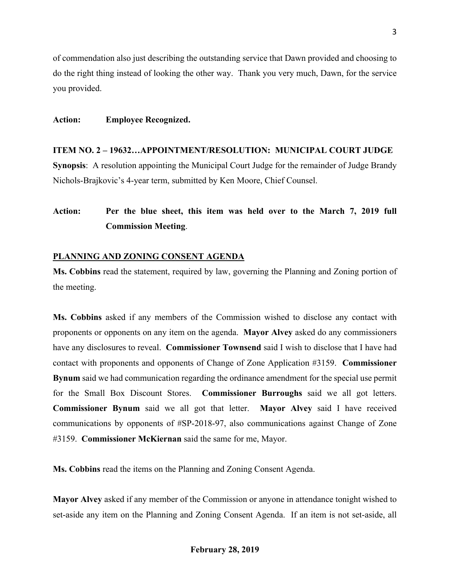of commendation also just describing the outstanding service that Dawn provided and choosing to do the right thing instead of looking the other way. Thank you very much, Dawn, for the service you provided.

#### **Action: Employee Recognized.**

### **ITEM NO. 2 – 19632…APPOINTMENT/RESOLUTION: MUNICIPAL COURT JUDGE**

**Synopsis**: A resolution appointing the Municipal Court Judge for the remainder of Judge Brandy Nichols-Brajkovic's 4-year term, submitted by Ken Moore, Chief Counsel.

# **Action: Per the blue sheet, this item was held over to the March 7, 2019 full Commission Meeting**.

#### **PLANNING AND ZONING CONSENT AGENDA**

**Ms. Cobbins** read the statement, required by law, governing the Planning and Zoning portion of the meeting.

**Ms. Cobbins** asked if any members of the Commission wished to disclose any contact with proponents or opponents on any item on the agenda. **Mayor Alvey** asked do any commissioners have any disclosures to reveal. **Commissioner Townsend** said I wish to disclose that I have had contact with proponents and opponents of Change of Zone Application #3159. **Commissioner Bynum** said we had communication regarding the ordinance amendment for the special use permit for the Small Box Discount Stores. **Commissioner Burroughs** said we all got letters. **Commissioner Bynum** said we all got that letter. **Mayor Alvey** said I have received communications by opponents of #SP-2018-97, also communications against Change of Zone #3159. **Commissioner McKiernan** said the same for me, Mayor.

**Ms. Cobbins** read the items on the Planning and Zoning Consent Agenda.

**Mayor Alvey** asked if any member of the Commission or anyone in attendance tonight wished to set-aside any item on the Planning and Zoning Consent Agenda. If an item is not set-aside, all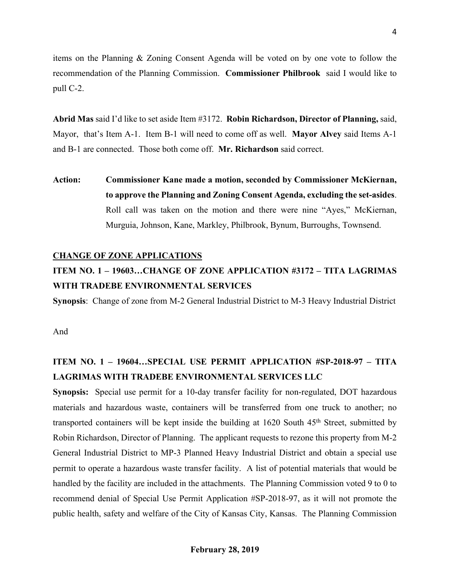items on the Planning & Zoning Consent Agenda will be voted on by one vote to follow the recommendation of the Planning Commission. **Commissioner Philbrook** said I would like to pull C-2.

**Abrid Mas** said I'd like to set aside Item #3172. **Robin Richardson, Director of Planning,** said, Mayor, that's Item A-1. Item B-1 will need to come off as well. **Mayor Alvey** said Items A-1 and B-1 are connected. Those both come off. **Mr. Richardson** said correct.

**Action: Commissioner Kane made a motion, seconded by Commissioner McKiernan, to approve the Planning and Zoning Consent Agenda, excluding the set-asides**. Roll call was taken on the motion and there were nine "Ayes," McKiernan, Murguia, Johnson, Kane, Markley, Philbrook, Bynum, Burroughs, Townsend.

#### **CHANGE OF ZONE APPLICATIONS**

# **ITEM NO. 1 – 19603…CHANGE OF ZONE APPLICATION #3172 – TITA LAGRIMAS WITH TRADEBE ENVIRONMENTAL SERVICES**

**Synopsis**: Change of zone from M-2 General Industrial District to M-3 Heavy Industrial District

And

# **ITEM NO. 1 – 19604…SPECIAL USE PERMIT APPLICATION #SP-2018-97 – TITA LAGRIMAS WITH TRADEBE ENVIRONMENTAL SERVICES LLC**

**Synopsis:** Special use permit for a 10-day transfer facility for non-regulated, DOT hazardous materials and hazardous waste, containers will be transferred from one truck to another; no transported containers will be kept inside the building at  $1620$  South  $45<sup>th</sup>$  Street, submitted by Robin Richardson, Director of Planning. The applicant requests to rezone this property from M-2 General Industrial District to MP-3 Planned Heavy Industrial District and obtain a special use permit to operate a hazardous waste transfer facility. A list of potential materials that would be handled by the facility are included in the attachments. The Planning Commission voted 9 to 0 to recommend denial of Special Use Permit Application #SP-2018-97, as it will not promote the public health, safety and welfare of the City of Kansas City, Kansas. The Planning Commission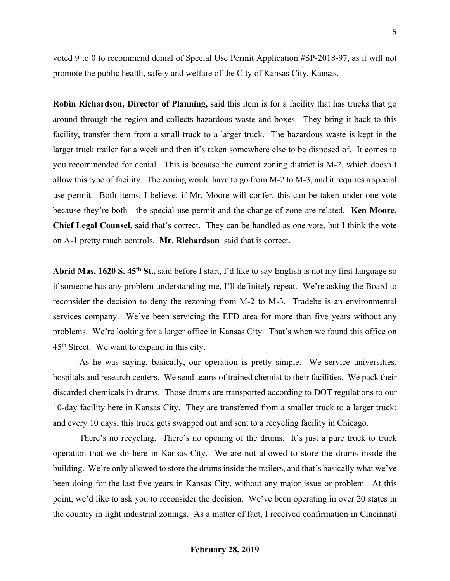voted 9 to 0 to recommend denial of Special Use Permit Application #SP-2018-97, as it will not promote the public health, safety and welfare of the City of Kansas City, Kansas.

**Robin Richardson, Director of Planning,** said this item is for a facility that has trucks that go around through the region and collects hazardous waste and boxes. They bring it back to this facility, transfer them from a small truck to a larger truck. The hazardous waste is kept in the larger truck trailer for a week and then it's taken somewhere else to be disposed of. It comes to you recommended for denial. This is because the current zoning district is M-2, which doesn't allow this type of facility. The zoning would have to go from M-2 to M-3, and it requires a special use permit. Both items, I believe, if Mr. Moore will confer, this can be taken under one vote because they're both—the special use permit and the change of zone are related. **Ken Moore, Chief Legal Counsel**, said that's correct. They can be handled as one vote, but I think the vote on A-1 pretty much controls. **Mr. Richardson** said that is correct.

**Abrid Mas, 1620 S. 45th St.,** said before I start, I'd like to say English is not my first language so if someone has any problem understanding me, I'll definitely repeat. We're asking the Board to reconsider the decision to deny the rezoning from M-2 to M-3. Tradebe is an environmental services company. We've been servicing the EFD area for more than five years without any problems. We're looking for a larger office in Kansas City. That's when we found this office on 45th Street. We want to expand in this city.

As he was saying, basically, our operation is pretty simple. We service universities, hospitals and research centers. We send teams of trained chemist to their facilities. We pack their discarded chemicals in drums. Those drums are transported according to DOT regulations to our 10-day facility here in Kansas City. They are transferred from a smaller truck to a larger truck; and every 10 days, this truck gets swapped out and sent to a recycling facility in Chicago.

There's no recycling. There's no opening of the drums. It's just a pure truck to truck operation that we do here in Kansas City. We are not allowed to store the drums inside the building. We're only allowed to store the drums inside the trailers, and that's basically what we've been doing for the last five years in Kansas City, without any major issue or problem. At this point, we'd like to ask you to reconsider the decision. We've been operating in over 20 states in the country in light industrial zonings. As a matter of fact, I received confirmation in Cincinnati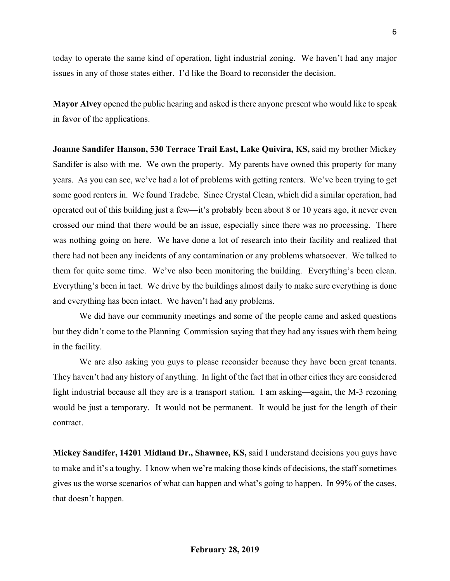today to operate the same kind of operation, light industrial zoning. We haven't had any major issues in any of those states either. I'd like the Board to reconsider the decision.

**Mayor Alvey** opened the public hearing and asked is there anyone present who would like to speak in favor of the applications.

**Joanne Sandifer Hanson, 530 Terrace Trail East, Lake Quivira, KS,** said my brother Mickey Sandifer is also with me. We own the property. My parents have owned this property for many years. As you can see, we've had a lot of problems with getting renters. We've been trying to get some good renters in. We found Tradebe. Since Crystal Clean, which did a similar operation, had operated out of this building just a few—it's probably been about 8 or 10 years ago, it never even crossed our mind that there would be an issue, especially since there was no processing. There was nothing going on here. We have done a lot of research into their facility and realized that there had not been any incidents of any contamination or any problems whatsoever. We talked to them for quite some time. We've also been monitoring the building. Everything's been clean. Everything's been in tact. We drive by the buildings almost daily to make sure everything is done and everything has been intact. We haven't had any problems.

We did have our community meetings and some of the people came and asked questions but they didn't come to the Planning Commission saying that they had any issues with them being in the facility.

We are also asking you guys to please reconsider because they have been great tenants. They haven't had any history of anything. In light of the fact that in other cities they are considered light industrial because all they are is a transport station. I am asking—again, the M-3 rezoning would be just a temporary. It would not be permanent. It would be just for the length of their contract.

**Mickey Sandifer, 14201 Midland Dr., Shawnee, KS,** said I understand decisions you guys have to make and it's a toughy. I know when we're making those kinds of decisions, the staff sometimes gives us the worse scenarios of what can happen and what's going to happen. In 99% of the cases, that doesn't happen.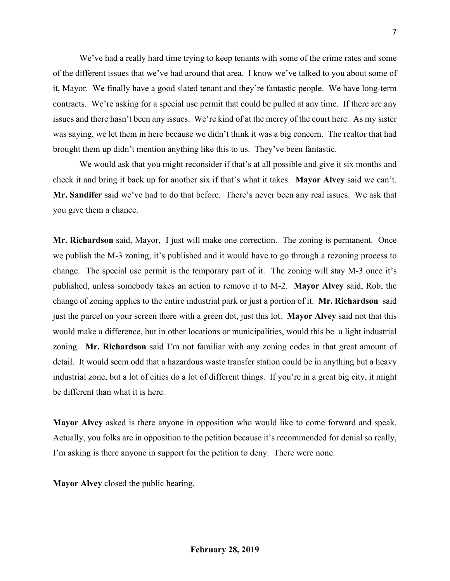We've had a really hard time trying to keep tenants with some of the crime rates and some of the different issues that we've had around that area. I know we've talked to you about some of it, Mayor. We finally have a good slated tenant and they're fantastic people. We have long-term contracts. We're asking for a special use permit that could be pulled at any time. If there are any issues and there hasn't been any issues. We're kind of at the mercy of the court here. As my sister was saying, we let them in here because we didn't think it was a big concern. The realtor that had brought them up didn't mention anything like this to us. They've been fantastic.

We would ask that you might reconsider if that's at all possible and give it six months and check it and bring it back up for another six if that's what it takes. **Mayor Alvey** said we can't. **Mr. Sandifer** said we've had to do that before. There's never been any real issues. We ask that you give them a chance.

**Mr. Richardson** said, Mayor, I just will make one correction. The zoning is permanent. Once we publish the M-3 zoning, it's published and it would have to go through a rezoning process to change. The special use permit is the temporary part of it. The zoning will stay M-3 once it's published, unless somebody takes an action to remove it to M-2. **Mayor Alvey** said, Rob, the change of zoning applies to the entire industrial park or just a portion of it. **Mr. Richardson** said just the parcel on your screen there with a green dot, just this lot. **Mayor Alvey** said not that this would make a difference, but in other locations or municipalities, would this be a light industrial zoning. **Mr. Richardson** said I'm not familiar with any zoning codes in that great amount of detail. It would seem odd that a hazardous waste transfer station could be in anything but a heavy industrial zone, but a lot of cities do a lot of different things. If you're in a great big city, it might be different than what it is here.

**Mayor Alvey** asked is there anyone in opposition who would like to come forward and speak. Actually, you folks are in opposition to the petition because it's recommended for denial so really, I'm asking is there anyone in support for the petition to deny. There were none.

**Mayor Alvey** closed the public hearing.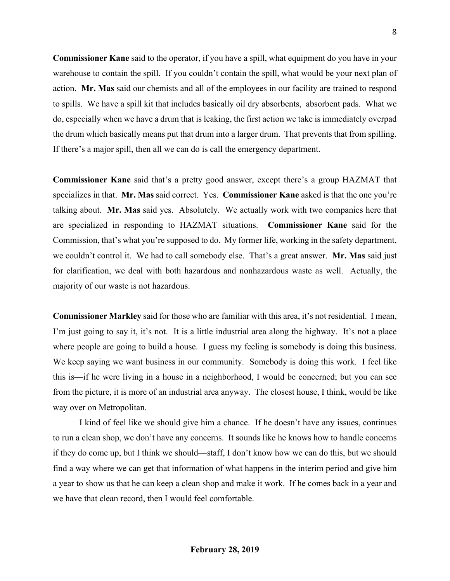**Commissioner Kane** said to the operator, if you have a spill, what equipment do you have in your warehouse to contain the spill. If you couldn't contain the spill, what would be your next plan of action. **Mr. Mas** said our chemists and all of the employees in our facility are trained to respond to spills. We have a spill kit that includes basically oil dry absorbents, absorbent pads. What we do, especially when we have a drum that is leaking, the first action we take is immediately overpad the drum which basically means put that drum into a larger drum. That prevents that from spilling. If there's a major spill, then all we can do is call the emergency department.

**Commissioner Kane** said that's a pretty good answer, except there's a group HAZMAT that specializes in that. **Mr. Mas** said correct. Yes. **Commissioner Kane** asked is that the one you're talking about. **Mr. Mas** said yes. Absolutely. We actually work with two companies here that are specialized in responding to HAZMAT situations. **Commissioner Kane** said for the Commission, that's what you're supposed to do. My former life, working in the safety department, we couldn't control it. We had to call somebody else. That's a great answer. **Mr. Mas** said just for clarification, we deal with both hazardous and nonhazardous waste as well. Actually, the majority of our waste is not hazardous.

**Commissioner Markley** said for those who are familiar with this area, it's not residential. I mean, I'm just going to say it, it's not. It is a little industrial area along the highway. It's not a place where people are going to build a house. I guess my feeling is somebody is doing this business. We keep saying we want business in our community. Somebody is doing this work. I feel like this is—if he were living in a house in a neighborhood, I would be concerned; but you can see from the picture, it is more of an industrial area anyway. The closest house, I think, would be like way over on Metropolitan.

I kind of feel like we should give him a chance. If he doesn't have any issues, continues to run a clean shop, we don't have any concerns. It sounds like he knows how to handle concerns if they do come up, but I think we should—staff, I don't know how we can do this, but we should find a way where we can get that information of what happens in the interim period and give him a year to show us that he can keep a clean shop and make it work. If he comes back in a year and we have that clean record, then I would feel comfortable.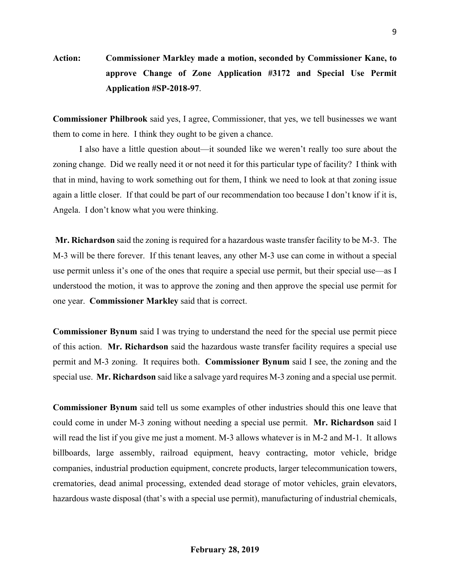**Action: Commissioner Markley made a motion, seconded by Commissioner Kane, to approve Change of Zone Application #3172 and Special Use Permit Application #SP-2018-97**.

**Commissioner Philbrook** said yes, I agree, Commissioner, that yes, we tell businesses we want them to come in here. I think they ought to be given a chance.

I also have a little question about—it sounded like we weren't really too sure about the zoning change. Did we really need it or not need it for this particular type of facility? I think with that in mind, having to work something out for them, I think we need to look at that zoning issue again a little closer. If that could be part of our recommendation too because I don't know if it is, Angela. I don't know what you were thinking.

**Mr. Richardson** said the zoning is required for a hazardous waste transfer facility to be M-3. The M-3 will be there forever. If this tenant leaves, any other M-3 use can come in without a special use permit unless it's one of the ones that require a special use permit, but their special use—as I understood the motion, it was to approve the zoning and then approve the special use permit for one year. **Commissioner Markley** said that is correct.

**Commissioner Bynum** said I was trying to understand the need for the special use permit piece of this action. **Mr. Richardson** said the hazardous waste transfer facility requires a special use permit and M-3 zoning. It requires both. **Commissioner Bynum** said I see, the zoning and the special use. **Mr. Richardson** said like a salvage yard requires M-3 zoning and a special use permit.

**Commissioner Bynum** said tell us some examples of other industries should this one leave that could come in under M-3 zoning without needing a special use permit. **Mr. Richardson** said I will read the list if you give me just a moment. M-3 allows whatever is in M-2 and M-1. It allows billboards, large assembly, railroad equipment, heavy contracting, motor vehicle, bridge companies, industrial production equipment, concrete products, larger telecommunication towers, crematories, dead animal processing, extended dead storage of motor vehicles, grain elevators, hazardous waste disposal (that's with a special use permit), manufacturing of industrial chemicals,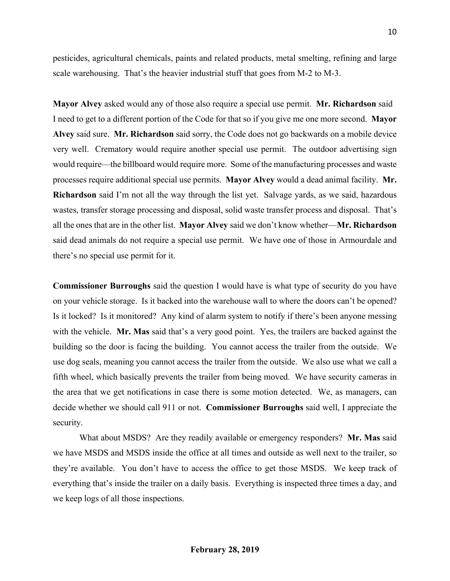pesticides, agricultural chemicals, paints and related products, metal smelting, refining and large scale warehousing. That's the heavier industrial stuff that goes from M-2 to M-3.

**Mayor Alvey** asked would any of those also require a special use permit. **Mr. Richardson** said I need to get to a different portion of the Code for that so if you give me one more second. **Mayor Alvey** said sure. **Mr. Richardson** said sorry, the Code does not go backwards on a mobile device very well. Crematory would require another special use permit. The outdoor advertising sign would require—the billboard would require more. Some of the manufacturing processes and waste processes require additional special use permits. **Mayor Alvey** would a dead animal facility. **Mr. Richardson** said I'm not all the way through the list yet. Salvage yards, as we said, hazardous wastes, transfer storage processing and disposal, solid waste transfer process and disposal. That's all the ones that are in the other list. **Mayor Alvey** said we don't know whether—**Mr. Richardson** said dead animals do not require a special use permit. We have one of those in Armourdale and there's no special use permit for it.

**Commissioner Burroughs** said the question I would have is what type of security do you have on your vehicle storage. Is it backed into the warehouse wall to where the doors can't be opened? Is it locked? Is it monitored? Any kind of alarm system to notify if there's been anyone messing with the vehicle. **Mr. Mas** said that's a very good point. Yes, the trailers are backed against the building so the door is facing the building. You cannot access the trailer from the outside. We use dog seals, meaning you cannot access the trailer from the outside. We also use what we call a fifth wheel, which basically prevents the trailer from being moved. We have security cameras in the area that we get notifications in case there is some motion detected. We, as managers, can decide whether we should call 911 or not. **Commissioner Burroughs** said well, I appreciate the security.

What about MSDS? Are they readily available or emergency responders? **Mr. Mas** said we have MSDS and MSDS inside the office at all times and outside as well next to the trailer, so they're available. You don't have to access the office to get those MSDS. We keep track of everything that's inside the trailer on a daily basis. Everything is inspected three times a day, and we keep logs of all those inspections.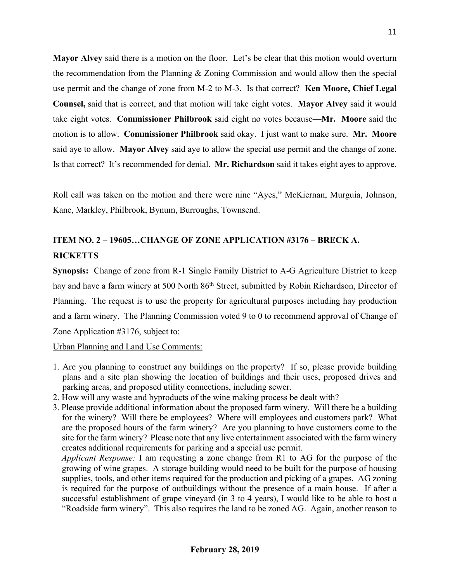**Mayor Alvey** said there is a motion on the floor. Let's be clear that this motion would overturn the recommendation from the Planning & Zoning Commission and would allow then the special use permit and the change of zone from M-2 to M-3. Is that correct? **Ken Moore, Chief Legal Counsel,** said that is correct, and that motion will take eight votes. **Mayor Alvey** said it would take eight votes. **Commissioner Philbrook** said eight no votes because—**Mr. Moore** said the motion is to allow. **Commissioner Philbrook** said okay. I just want to make sure. **Mr. Moore** said aye to allow. **Mayor Alvey** said aye to allow the special use permit and the change of zone. Is that correct? It's recommended for denial. **Mr. Richardson** said it takes eight ayes to approve.

Roll call was taken on the motion and there were nine "Ayes," McKiernan, Murguia, Johnson, Kane, Markley, Philbrook, Bynum, Burroughs, Townsend.

# **ITEM NO. 2 – 19605…CHANGE OF ZONE APPLICATION #3176 – BRECK A. RICKETTS**

**Synopsis:** Change of zone from R-1 Single Family District to A-G Agriculture District to keep hay and have a farm winery at 500 North 86<sup>th</sup> Street, submitted by Robin Richardson, Director of Planning. The request is to use the property for agricultural purposes including hay production and a farm winery. The Planning Commission voted 9 to 0 to recommend approval of Change of Zone Application #3176, subject to:

#### Urban Planning and Land Use Comments:

- 1. Are you planning to construct any buildings on the property? If so, please provide building plans and a site plan showing the location of buildings and their uses, proposed drives and parking areas, and proposed utility connections, including sewer.
- 2. How will any waste and byproducts of the wine making process be dealt with?
- 3. Please provide additional information about the proposed farm winery. Will there be a building for the winery? Will there be employees? Where will employees and customers park? What are the proposed hours of the farm winery? Are you planning to have customers come to the site for the farm winery? Please note that any live entertainment associated with the farm winery creates additional requirements for parking and a special use permit.

 *Applicant Response:* I am requesting a zone change from R1 to AG for the purpose of the growing of wine grapes. A storage building would need to be built for the purpose of housing supplies, tools, and other items required for the production and picking of a grapes. AG zoning is required for the purpose of outbuildings without the presence of a main house. If after a successful establishment of grape vineyard (in 3 to 4 years), I would like to be able to host a "Roadside farm winery". This also requires the land to be zoned AG. Again, another reason to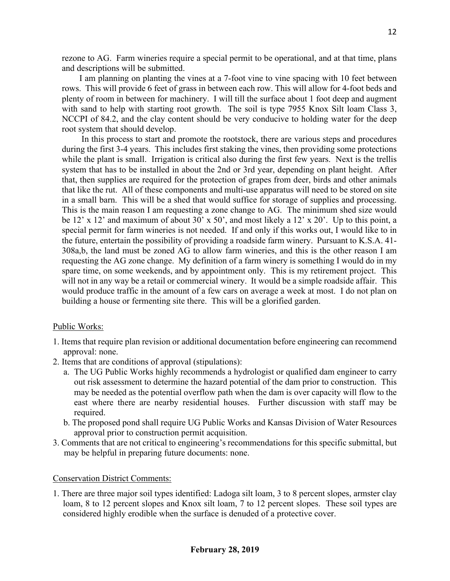rezone to AG. Farm wineries require a special permit to be operational, and at that time, plans and descriptions will be submitted.

I am planning on planting the vines at a 7-foot vine to vine spacing with 10 feet between rows. This will provide 6 feet of grass in between each row. This will allow for 4-foot beds and plenty of room in between for machinery. I will till the surface about 1 foot deep and augment with sand to help with starting root growth. The soil is type 7955 Knox Silt loam Class 3, NCCPI of 84.2, and the clay content should be very conducive to holding water for the deep root system that should develop.

In this process to start and promote the rootstock, there are various steps and procedures during the first 3-4 years. This includes first staking the vines, then providing some protections while the plant is small. Irrigation is critical also during the first few years. Next is the trellis system that has to be installed in about the 2nd or 3rd year, depending on plant height. After that, then supplies are required for the protection of grapes from deer, birds and other animals that like the rut. All of these components and multi-use apparatus will need to be stored on site in a small barn. This will be a shed that would suffice for storage of supplies and processing. This is the main reason I am requesting a zone change to AG. The minimum shed size would be 12' x 12' and maximum of about 30' x 50', and most likely a 12' x 20'. Up to this point, a special permit for farm wineries is not needed. If and only if this works out, I would like to in the future, entertain the possibility of providing a roadside farm winery. Pursuant to K.S.A. 41- 308a,b, the land must be zoned AG to allow farm wineries, and this is the other reason I am requesting the AG zone change. My definition of a farm winery is something I would do in my spare time, on some weekends, and by appointment only. This is my retirement project. This will not in any way be a retail or commercial winery. It would be a simple roadside affair. This would produce traffic in the amount of a few cars on average a week at most. I do not plan on building a house or fermenting site there. This will be a glorified garden.

#### Public Works:

- 1. Items that require plan revision or additional documentation before engineering can recommend approval: none.
- 2. Items that are conditions of approval (stipulations):
	- a. The UG Public Works highly recommends a hydrologist or qualified dam engineer to carry out risk assessment to determine the hazard potential of the dam prior to construction. This may be needed as the potential overflow path when the dam is over capacity will flow to the east where there are nearby residential houses. Further discussion with staff may be required.
	- b. The proposed pond shall require UG Public Works and Kansas Division of Water Resources approval prior to construction permit acquisition.
- 3. Comments that are not critical to engineering's recommendations for this specific submittal, but may be helpful in preparing future documents: none.

#### Conservation District Comments:

1. There are three major soil types identified: Ladoga silt loam, 3 to 8 percent slopes, armster clay loam, 8 to 12 percent slopes and Knox silt loam, 7 to 12 percent slopes. These soil types are considered highly erodible when the surface is denuded of a protective cover.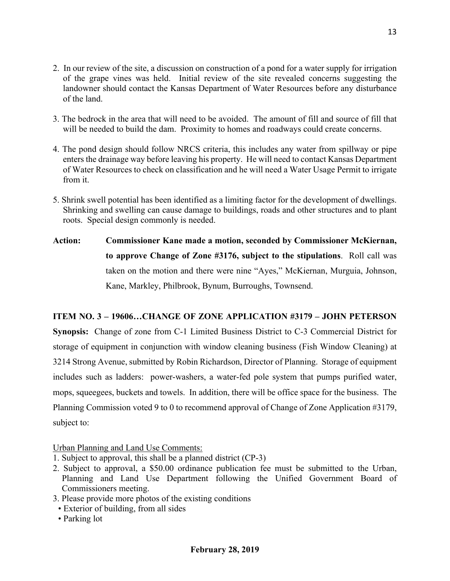- 2. In our review of the site, a discussion on construction of a pond for a water supply for irrigation of the grape vines was held. Initial review of the site revealed concerns suggesting the landowner should contact the Kansas Department of Water Resources before any disturbance of the land.
- 3. The bedrock in the area that will need to be avoided. The amount of fill and source of fill that will be needed to build the dam. Proximity to homes and roadways could create concerns.
- 4. The pond design should follow NRCS criteria, this includes any water from spillway or pipe enters the drainage way before leaving his property. He will need to contact Kansas Department of Water Resources to check on classification and he will need a Water Usage Permit to irrigate from it.
- 5. Shrink swell potential has been identified as a limiting factor for the development of dwellings. Shrinking and swelling can cause damage to buildings, roads and other structures and to plant roots. Special design commonly is needed.
- **Action: Commissioner Kane made a motion, seconded by Commissioner McKiernan, to approve Change of Zone #3176, subject to the stipulations**. Roll call was taken on the motion and there were nine "Ayes," McKiernan, Murguia, Johnson, Kane, Markley, Philbrook, Bynum, Burroughs, Townsend.

# **ITEM NO. 3 – 19606…CHANGE OF ZONE APPLICATION #3179 – JOHN PETERSON**

**Synopsis:** Change of zone from C-1 Limited Business District to C-3 Commercial District for storage of equipment in conjunction with window cleaning business (Fish Window Cleaning) at 3214 Strong Avenue, submitted by Robin Richardson, Director of Planning. Storage of equipment includes such as ladders: power-washers, a water-fed pole system that pumps purified water, mops, squeegees, buckets and towels. In addition, there will be office space for the business. The Planning Commission voted 9 to 0 to recommend approval of Change of Zone Application #3179, subject to:

Urban Planning and Land Use Comments:

- 1. Subject to approval, this shall be a planned district (CP-3)
- 2. Subject to approval, a \$50.00 ordinance publication fee must be submitted to the Urban, Planning and Land Use Department following the Unified Government Board of Commissioners meeting.
- 3. Please provide more photos of the existing conditions
	- Exterior of building, from all sides
	- Parking lot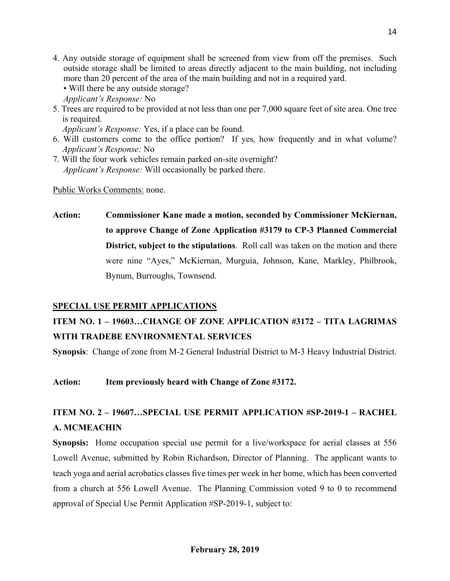- 4. Any outside storage of equipment shall be screened from view from off the premises. Such outside storage shall be limited to areas directly adjacent to the main building, not including more than 20 percent of the area of the main building and not in a required yard.
	- Will there be any outside storage?
	- *Applicant's Response:* No
- 5. Trees are required to be provided at not less than one per 7,000 square feet of site area. One tree is required.

*Applicant's Response:* Yes, if a place can be found.

- 6. Will customers come to the office portion? If yes, how frequently and in what volume? *Applicant's Response:* No
- 7. Will the four work vehicles remain parked on-site overnight? *Applicant's Response:* Will occasionally be parked there.

Public Works Comments: none.

**Action: Commissioner Kane made a motion, seconded by Commissioner McKiernan, to approve Change of Zone Application #3179 to CP-3 Planned Commercial District, subject to the stipulations**. Roll call was taken on the motion and there were nine "Ayes," McKiernan, Murguia, Johnson, Kane, Markley, Philbrook, Bynum, Burroughs, Townsend.

# **SPECIAL USE PERMIT APPLICATIONS**

# **ITEM NO. 1 – 19603…CHANGE OF ZONE APPLICATION #3172 – TITA LAGRIMAS WITH TRADEBE ENVIRONMENTAL SERVICES**

**Synopsis**: Change of zone from M-2 General Industrial District to M-3 Heavy Industrial District.

**Action: Item previously heard with Change of Zone #3172.**

# **ITEM NO. 2 – 19607…SPECIAL USE PERMIT APPLICATION #SP-2019-1 – RACHEL A. MCMEACHIN**

**Synopsis:** Home occupation special use permit for a live/workspace for aerial classes at 556 Lowell Avenue, submitted by Robin Richardson, Director of Planning. The applicant wants to teach yoga and aerial acrobatics classes five times per week in her home, which has been converted from a church at 556 Lowell Avenue. The Planning Commission voted 9 to 0 to recommend approval of Special Use Permit Application #SP-2019-1, subject to: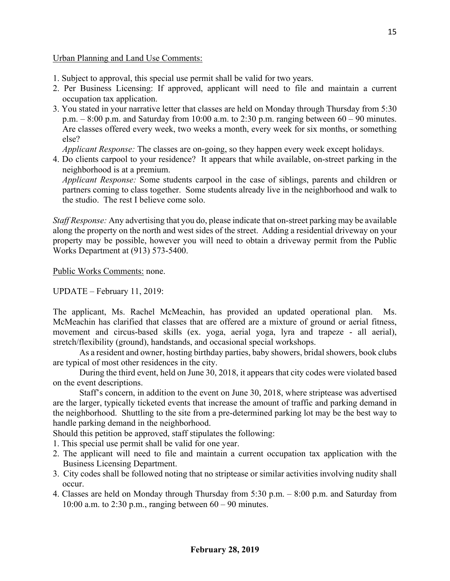### Urban Planning and Land Use Comments:

- 1. Subject to approval, this special use permit shall be valid for two years.
- 2. Per Business Licensing: If approved, applicant will need to file and maintain a current occupation tax application.
- 3. You stated in your narrative letter that classes are held on Monday through Thursday from 5:30 p.m.  $-8:00$  p.m. and Saturday from 10:00 a.m. to 2:30 p.m. ranging between  $60 - 90$  minutes. Are classes offered every week, two weeks a month, every week for six months, or something else?

*Applicant Response:* The classes are on-going, so they happen every week except holidays.

4. Do clients carpool to your residence? It appears that while available, on-street parking in the neighborhood is at a premium.

*Applicant Response:* Some students carpool in the case of siblings, parents and children or partners coming to class together. Some students already live in the neighborhood and walk to the studio. The rest I believe come solo.

*Staff Response:* Any advertising that you do, please indicate that on-street parking may be available along the property on the north and west sides of the street. Adding a residential driveway on your property may be possible, however you will need to obtain a driveway permit from the Public Works Department at (913) 573-5400.

Public Works Comments: none.

UPDATE – February 11, 2019:

The applicant, Ms. Rachel McMeachin, has provided an updated operational plan. Ms. McMeachin has clarified that classes that are offered are a mixture of ground or aerial fitness, movement and circus-based skills (ex. yoga, aerial yoga, lyra and trapeze - all aerial), stretch/flexibility (ground), handstands, and occasional special workshops.

As a resident and owner, hosting birthday parties, baby showers, bridal showers, book clubs are typical of most other residences in the city.

During the third event, held on June 30, 2018, it appears that city codes were violated based on the event descriptions.

Staff's concern, in addition to the event on June 30, 2018, where striptease was advertised are the larger, typically ticketed events that increase the amount of traffic and parking demand in the neighborhood. Shuttling to the site from a pre-determined parking lot may be the best way to handle parking demand in the neighborhood.

Should this petition be approved, staff stipulates the following:

- 1. This special use permit shall be valid for one year.
- 2. The applicant will need to file and maintain a current occupation tax application with the Business Licensing Department.
- 3. City codes shall be followed noting that no striptease or similar activities involving nudity shall occur.
- 4. Classes are held on Monday through Thursday from 5:30 p.m. 8:00 p.m. and Saturday from 10:00 a.m. to 2:30 p.m., ranging between 60 – 90 minutes.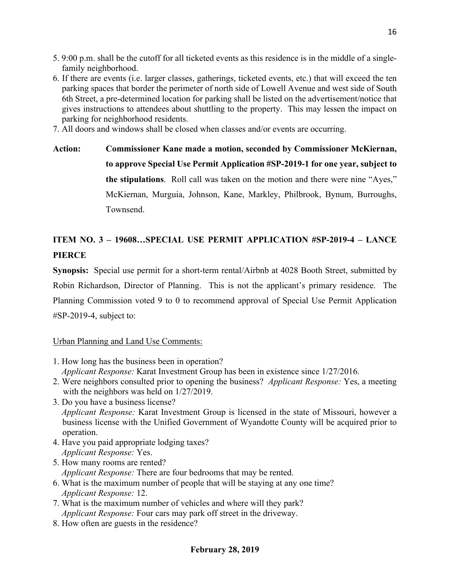- 5. 9:00 p.m. shall be the cutoff for all ticketed events as this residence is in the middle of a singlefamily neighborhood.
- 6. If there are events (i.e. larger classes, gatherings, ticketed events, etc.) that will exceed the ten parking spaces that border the perimeter of north side of Lowell Avenue and west side of South 6th Street, a pre-determined location for parking shall be listed on the advertisement/notice that gives instructions to attendees about shuttling to the property. This may lessen the impact on parking for neighborhood residents.
- 7. All doors and windows shall be closed when classes and/or events are occurring.

**Action: Commissioner Kane made a motion, seconded by Commissioner McKiernan, to approve Special Use Permit Application #SP-2019-1 for one year, subject to the stipulations**. Roll call was taken on the motion and there were nine "Ayes," McKiernan, Murguia, Johnson, Kane, Markley, Philbrook, Bynum, Burroughs, Townsend.

# **ITEM NO. 3 – 19608…SPECIAL USE PERMIT APPLICATION #SP-2019-4 – LANCE PIERCE**

**Synopsis:** Special use permit for a short-term rental/Airbnb at 4028 Booth Street, submitted by Robin Richardson, Director of Planning. This is not the applicant's primary residence. The Planning Commission voted 9 to 0 to recommend approval of Special Use Permit Application  $\#SP-2019-4$ , subject to:

# Urban Planning and Land Use Comments:

- 1. How long has the business been in operation?  *Applicant Response:* Karat Investment Group has been in existence since 1/27/2016.
- 2. Were neighbors consulted prior to opening the business? *Applicant Response:* Yes, a meeting with the neighbors was held on  $1/27/2019$ .
- 3. Do you have a business license? *Applicant Response:* Karat Investment Group is licensed in the state of Missouri, however a business license with the Unified Government of Wyandotte County will be acquired prior to operation.
- 4. Have you paid appropriate lodging taxes? *Applicant Response:* Yes.
- 5. How many rooms are rented? *Applicant Response:* There are four bedrooms that may be rented.
- 6. What is the maximum number of people that will be staying at any one time? *Applicant Response:* 12.
- 7. What is the maximum number of vehicles and where will they park? *Applicant Response:* Four cars may park off street in the driveway.
- 8. How often are guests in the residence?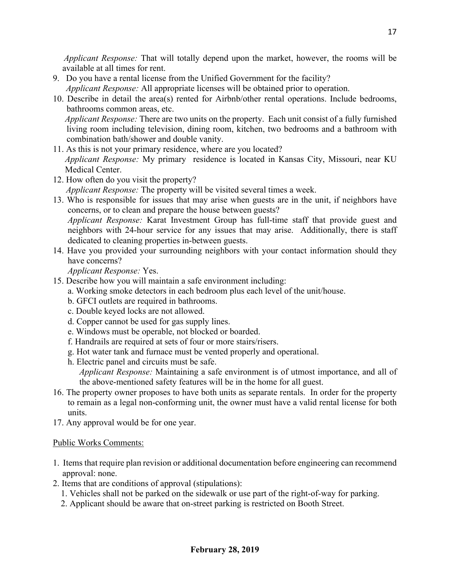*Applicant Response:* That will totally depend upon the market, however, the rooms will be available at all times for rent.

- 9. Do you have a rental license from the Unified Government for the facility? *Applicant Response:* All appropriate licenses will be obtained prior to operation.
- 10. Describe in detail the area(s) rented for Airbnb/other rental operations. Include bedrooms, bathrooms common areas, etc.

*Applicant Response:* There are two units on the property. Each unit consist of a fully furnished living room including television, dining room, kitchen, two bedrooms and a bathroom with combination bath/shower and double vanity.

- 11. As this is not your primary residence, where are you located? *Applicant Response:* My primary residence is located in Kansas City, Missouri, near KU Medical Center.
- 12. How often do you visit the property? *Applicant Response:* The property will be visited several times a week.
- 13. Who is responsible for issues that may arise when guests are in the unit, if neighbors have concerns, or to clean and prepare the house between guests? *Applicant Response:* Karat Investment Group has full-time staff that provide guest and

neighbors with 24-hour service for any issues that may arise. Additionally, there is staff dedicated to cleaning properties in-between guests.

14. Have you provided your surrounding neighbors with your contact information should they have concerns?

*Applicant Response:* Yes.

- 15. Describe how you will maintain a safe environment including:
	- a. Working smoke detectors in each bedroom plus each level of the unit/house.
	- b. GFCI outlets are required in bathrooms.
	- c. Double keyed locks are not allowed.
	- d. Copper cannot be used for gas supply lines.
	- e. Windows must be operable, not blocked or boarded.
	- f. Handrails are required at sets of four or more stairs/risers.
	- g. Hot water tank and furnace must be vented properly and operational.
	- h. Electric panel and circuits must be safe. *Applicant Response:* Maintaining a safe environment is of utmost importance, and all of the above-mentioned safety features will be in the home for all guest.
- 16. The property owner proposes to have both units as separate rentals. In order for the property to remain as a legal non-conforming unit, the owner must have a valid rental license for both units.
- 17. Any approval would be for one year.

# Public Works Comments:

- 1. Items that require plan revision or additional documentation before engineering can recommend approval: none.
- 2. Items that are conditions of approval (stipulations):
	- 1. Vehicles shall not be parked on the sidewalk or use part of the right-of-way for parking.
	- 2. Applicant should be aware that on-street parking is restricted on Booth Street.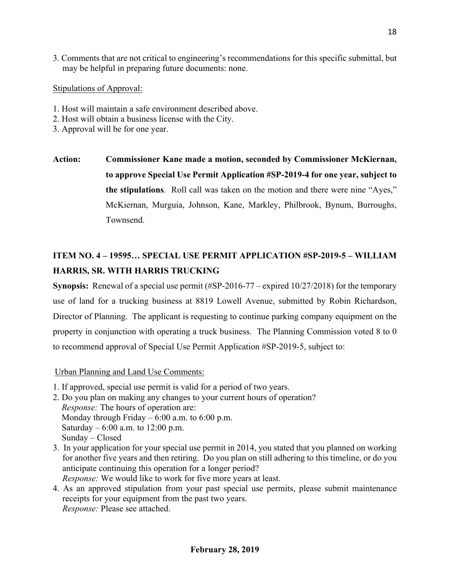3. Comments that are not critical to engineering's recommendations for this specific submittal, but may be helpful in preparing future documents: none.

Stipulations of Approval:

- 1. Host will maintain a safe environment described above.
- 2. Host will obtain a business license with the City.
- 3. Approval will be for one year.

**Action: Commissioner Kane made a motion, seconded by Commissioner McKiernan, to approve Special Use Permit Application #SP-2019-4 for one year, subject to the stipulations**. Roll call was taken on the motion and there were nine "Ayes," McKiernan, Murguia, Johnson, Kane, Markley, Philbrook, Bynum, Burroughs, Townsend.

# **ITEM NO. 4 – 19595… SPECIAL USE PERMIT APPLICATION #SP-2019-5 – WILLIAM HARRIS, SR. WITH HARRIS TRUCKING**

**Synopsis:** Renewal of a special use permit (#SP-2016-77 – expired 10/27/2018) for the temporary use of land for a trucking business at 8819 Lowell Avenue, submitted by Robin Richardson, Director of Planning. The applicant is requesting to continue parking company equipment on the property in conjunction with operating a truck business. The Planning Commission voted 8 to 0 to recommend approval of Special Use Permit Application #SP-2019-5, subject to:

Urban Planning and Land Use Comments:

- 1. If approved, special use permit is valid for a period of two years.
- 2. Do you plan on making any changes to your current hours of operation? *Response:* The hours of operation are: Monday through Friday  $-6:00$  a.m. to  $6:00$  p.m. Saturday –  $6:00$  a.m. to 12:00 p.m. Sunday – Closed
- 3. In your application for your special use permit in 2014, you stated that you planned on working for another five years and then retiring. Do you plan on still adhering to this timeline, or do you anticipate continuing this operation for a longer period? *Response:* We would like to work for five more years at least.
- 4. As an approved stipulation from your past special use permits, please submit maintenance receipts for your equipment from the past two years. *Response:* Please see attached.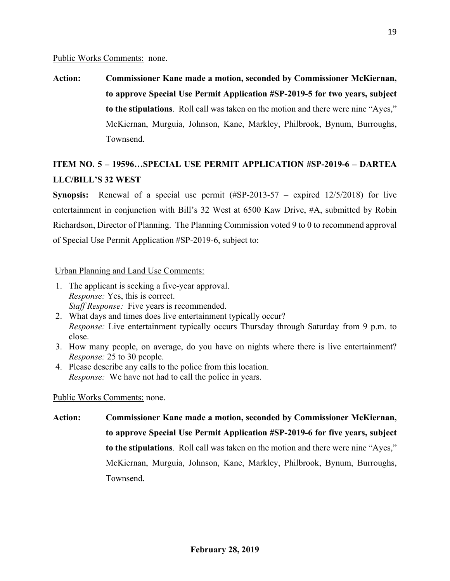#### Public Works Comments: none.

**Action: Commissioner Kane made a motion, seconded by Commissioner McKiernan, to approve Special Use Permit Application #SP-2019-5 for two years, subject to the stipulations**. Roll call was taken on the motion and there were nine "Ayes," McKiernan, Murguia, Johnson, Kane, Markley, Philbrook, Bynum, Burroughs, Townsend.

# **ITEM NO. 5 – 19596…SPECIAL USE PERMIT APPLICATION #SP-2019-6 – DARTEA LLC/BILL'S 32 WEST**

**Synopsis:** Renewal of a special use permit (#SP-2013-57 – expired 12/5/2018) for live entertainment in conjunction with Bill's 32 West at 6500 Kaw Drive, #A, submitted by Robin Richardson, Director of Planning. The Planning Commission voted 9 to 0 to recommend approval of Special Use Permit Application #SP-2019-6, subject to:

### Urban Planning and Land Use Comments:

- 1. The applicant is seeking a five-year approval. *Response:* Yes, this is correct. *Staff Response:* Five years is recommended.
- 2. What days and times does live entertainment typically occur? *Response:* Live entertainment typically occurs Thursday through Saturday from 9 p.m. to close.
- 3. How many people, on average, do you have on nights where there is live entertainment? *Response:* 25 to 30 people.
- 4. Please describe any calls to the police from this location. *Response:* We have not had to call the police in years.

### Public Works Comments: none.

**Action: Commissioner Kane made a motion, seconded by Commissioner McKiernan, to approve Special Use Permit Application #SP-2019-6 for five years, subject to the stipulations**. Roll call was taken on the motion and there were nine "Ayes," McKiernan, Murguia, Johnson, Kane, Markley, Philbrook, Bynum, Burroughs, Townsend.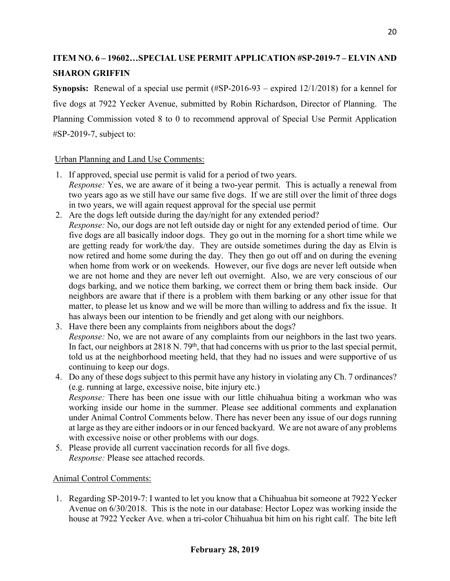# **ITEM NO. 6 – 19602…SPECIAL USE PERMIT APPLICATION #SP-2019-7 – ELVIN AND SHARON GRIFFIN**

**Synopsis:** Renewal of a special use permit (#SP-2016-93 – expired 12/1/2018) for a kennel for five dogs at 7922 Yecker Avenue, submitted by Robin Richardson, Director of Planning. The Planning Commission voted 8 to 0 to recommend approval of Special Use Permit Application #SP-2019-7, subject to:

# Urban Planning and Land Use Comments:

- 1. If approved, special use permit is valid for a period of two years. *Response:* Yes, we are aware of it being a two-year permit. This is actually a renewal from two years ago as we still have our same five dogs. If we are still over the limit of three dogs in two years, we will again request approval for the special use permit
- 2. Are the dogs left outside during the day/night for any extended period?
- *Response:* No, our dogs are not left outside day or night for any extended period of time. Our five dogs are all basically indoor dogs. They go out in the morning for a short time while we are getting ready for work/the day. They are outside sometimes during the day as Elvin is now retired and home some during the day. They then go out off and on during the evening when home from work or on weekends. However, our five dogs are never left outside when we are not home and they are never left out overnight. Also, we are very conscious of our dogs barking, and we notice them barking, we correct them or bring them back inside. Our neighbors are aware that if there is a problem with them barking or any other issue for that matter, to please let us know and we will be more than willing to address and fix the issue. It has always been our intention to be friendly and get along with our neighbors.
- 3. Have there been any complaints from neighbors about the dogs? *Response:* No, we are not aware of any complaints from our neighbors in the last two years. In fact, our neighbors at 2818 N. 79<sup>th</sup>, that had concerns with us prior to the last special permit, told us at the neighborhood meeting held, that they had no issues and were supportive of us continuing to keep our dogs.
- 4. Do any of these dogs subject to this permit have any history in violating any Ch. 7 ordinances? (e.g. running at large, excessive noise, bite injury etc.) *Response:* There has been one issue with our little chihuahua biting a workman who was working inside our home in the summer. Please see additional comments and explanation under Animal Control Comments below. There has never been any issue of our dogs running at large asthey are either indoors or in our fenced backyard. We are not aware of any problems with excessive noise or other problems with our dogs.
- 5. Please provide all current vaccination records for all five dogs. *Response:* Please see attached records.

# Animal Control Comments:

1. Regarding SP-2019-7: I wanted to let you know that a Chihuahua bit someone at 7922 Yecker Avenue on 6/30/2018. This is the note in our database: Hector Lopez was working inside the house at 7922 Yecker Ave. when a tri-color Chihuahua bit him on his right calf. The bite left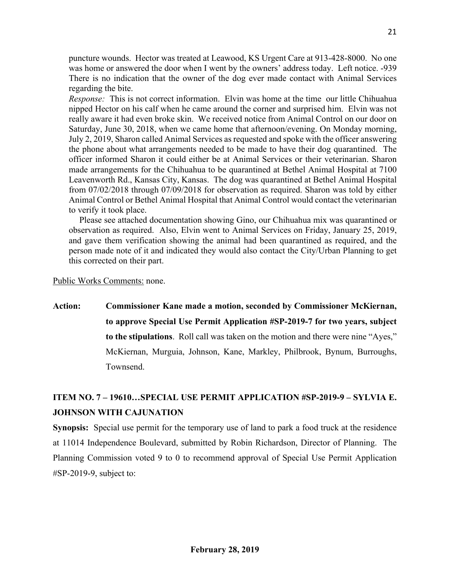puncture wounds. Hector was treated at Leawood, KS Urgent Care at 913-428-8000. No one was home or answered the door when I went by the owners' address today. Left notice. -939 There is no indication that the owner of the dog ever made contact with Animal Services regarding the bite.

*Response:* This is not correct information. Elvin was home at the time our little Chihuahua nipped Hector on his calf when he came around the corner and surprised him. Elvin was not really aware it had even broke skin. We received notice from Animal Control on our door on Saturday, June 30, 2018, when we came home that afternoon/evening. On Monday morning, July 2, 2019, Sharon called Animal Services as requested and spoke with the officer answering the phone about what arrangements needed to be made to have their dog quarantined. The officer informed Sharon it could either be at Animal Services or their veterinarian. Sharon made arrangements for the Chihuahua to be quarantined at Bethel Animal Hospital at 7100 Leavenworth Rd., Kansas City, Kansas. The dog was quarantined at Bethel Animal Hospital from 07/02/2018 through 07/09/2018 for observation as required. Sharon was told by either Animal Control or Bethel Animal Hospital that Animal Control would contact the veterinarian to verify it took place.

Please see attached documentation showing Gino, our Chihuahua mix was quarantined or observation as required. Also, Elvin went to Animal Services on Friday, January 25, 2019, and gave them verification showing the animal had been quarantined as required, and the person made note of it and indicated they would also contact the City/Urban Planning to get this corrected on their part.

Public Works Comments: none.

**Action: Commissioner Kane made a motion, seconded by Commissioner McKiernan, to approve Special Use Permit Application #SP-2019-7 for two years, subject to the stipulations**. Roll call was taken on the motion and there were nine "Ayes," McKiernan, Murguia, Johnson, Kane, Markley, Philbrook, Bynum, Burroughs, Townsend.

# **ITEM NO. 7 – 19610…SPECIAL USE PERMIT APPLICATION #SP-2019-9 – SYLVIA E. JOHNSON WITH CAJUNATION**

**Synopsis:** Special use permit for the temporary use of land to park a food truck at the residence at 11014 Independence Boulevard, submitted by Robin Richardson, Director of Planning. The Planning Commission voted 9 to 0 to recommend approval of Special Use Permit Application #SP-2019-9, subject to: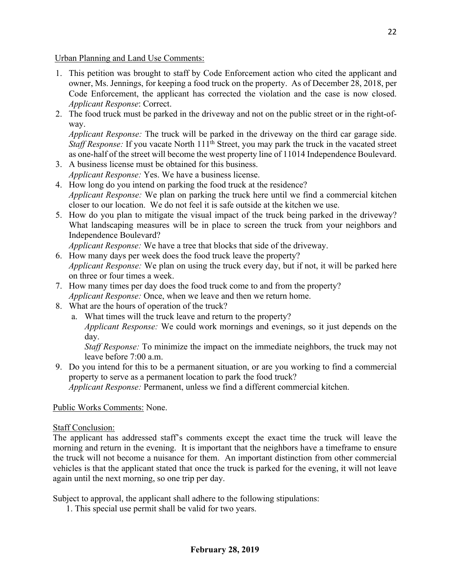Urban Planning and Land Use Comments:

- 1. This petition was brought to staff by Code Enforcement action who cited the applicant and owner, Ms. Jennings, for keeping a food truck on the property. As of December 28, 2018, per Code Enforcement, the applicant has corrected the violation and the case is now closed. *Applicant Response*: Correct.
- 2. The food truck must be parked in the driveway and not on the public street or in the right-ofway.

*Applicant Response:* The truck will be parked in the driveway on the third car garage side. *Staff Response*: If you vacate North 111<sup>th</sup> Street, you may park the truck in the vacated street as one-half of the street will become the west property line of 11014 Independence Boulevard.

- 3. A business license must be obtained for this business. *Applicant Response:* Yes. We have a business license.
- 4. How long do you intend on parking the food truck at the residence? *Applicant Response:* We plan on parking the truck here until we find a commercial kitchen closer to our location. We do not feel it is safe outside at the kitchen we use.
- 5. How do you plan to mitigate the visual impact of the truck being parked in the driveway? What landscaping measures will be in place to screen the truck from your neighbors and Independence Boulevard?

*Applicant Response:* We have a tree that blocks that side of the driveway.

- 6. How many days per week does the food truck leave the property? *Applicant Response:* We plan on using the truck every day, but if not, it will be parked here on three or four times a week.
- 7. How many times per day does the food truck come to and from the property? *Applicant Response:* Once, when we leave and then we return home.
- 8. What are the hours of operation of the truck?
	- a. What times will the truck leave and return to the property?
		- *Applicant Response:* We could work mornings and evenings, so it just depends on the day.

*Staff Response:* To minimize the impact on the immediate neighbors, the truck may not leave before 7:00 a.m.

9. Do you intend for this to be a permanent situation, or are you working to find a commercial property to serve as a permanent location to park the food truck? *Applicant Response:* Permanent, unless we find a different commercial kitchen.

Public Works Comments: None.

# Staff Conclusion:

The applicant has addressed staff's comments except the exact time the truck will leave the morning and return in the evening. It is important that the neighbors have a timeframe to ensure the truck will not become a nuisance for them. An important distinction from other commercial vehicles is that the applicant stated that once the truck is parked for the evening, it will not leave again until the next morning, so one trip per day.

Subject to approval, the applicant shall adhere to the following stipulations:

1. This special use permit shall be valid for two years.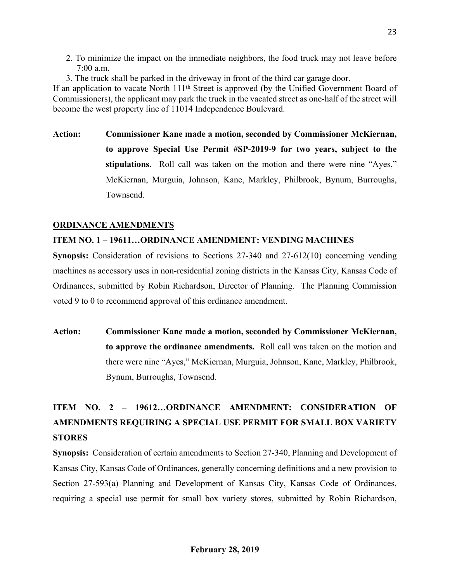- 2. To minimize the impact on the immediate neighbors, the food truck may not leave before 7:00 a.m.
- 3. The truck shall be parked in the driveway in front of the third car garage door.

If an application to vacate North 111th Street is approved (by the Unified Government Board of Commissioners), the applicant may park the truck in the vacated street as one-half of the street will become the west property line of 11014 Independence Boulevard.

**Action: Commissioner Kane made a motion, seconded by Commissioner McKiernan, to approve Special Use Permit #SP-2019-9 for two years, subject to the stipulations**. Roll call was taken on the motion and there were nine "Ayes," McKiernan, Murguia, Johnson, Kane, Markley, Philbrook, Bynum, Burroughs, Townsend.

# **ORDINANCE AMENDMENTS**

# **ITEM NO. 1 – 19611…ORDINANCE AMENDMENT: VENDING MACHINES**

**Synopsis:** Consideration of revisions to Sections 27-340 and 27-612(10) concerning vending machines as accessory uses in non-residential zoning districts in the Kansas City, Kansas Code of Ordinances, submitted by Robin Richardson, Director of Planning. The Planning Commission voted 9 to 0 to recommend approval of this ordinance amendment.

**Action: Commissioner Kane made a motion, seconded by Commissioner McKiernan, to approve the ordinance amendments.** Roll call was taken on the motion and there were nine "Ayes," McKiernan, Murguia, Johnson, Kane, Markley, Philbrook, Bynum, Burroughs, Townsend.

# **ITEM NO. 2 – 19612…ORDINANCE AMENDMENT: CONSIDERATION OF AMENDMENTS REQUIRING A SPECIAL USE PERMIT FOR SMALL BOX VARIETY STORES**

**Synopsis:** Consideration of certain amendments to Section 27-340, Planning and Development of Kansas City, Kansas Code of Ordinances, generally concerning definitions and a new provision to Section 27-593(a) Planning and Development of Kansas City, Kansas Code of Ordinances, requiring a special use permit for small box variety stores, submitted by Robin Richardson,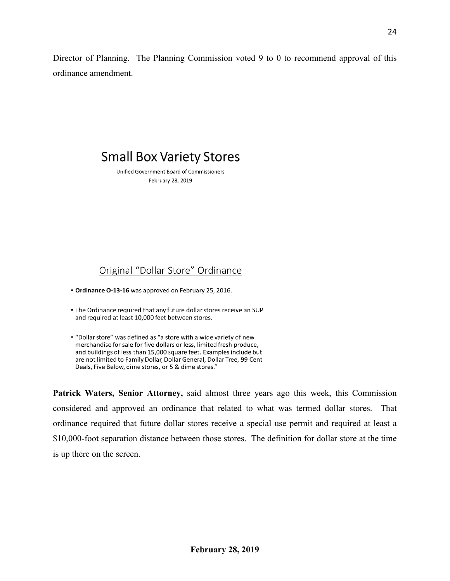Director of Planning. The Planning Commission voted 9 to 0 to recommend approval of this ordinance amendment.

# **Small Box Variety Stores**

Unified Government Board of Commissioners February 28, 2019

# Original "Dollar Store" Ordinance

• Ordinance O-13-16 was approved on February 25, 2016.

- . The Ordinance required that any future dollar stores receive an SUP and required at least 10,000 feet between stores.
- . "Dollar store" was defined as "a store with a wide variety of new merchandise for sale for five dollars or less, limited fresh produce, and buildings of less than 15,000 square feet. Examples include but are not limited to Family Dollar, Dollar General, Dollar Tree, 99 Cent Deals, Five Below, dime stores, or 5 & dime stores."

**Patrick Waters, Senior Attorney,** said almost three years ago this week, this Commission considered and approved an ordinance that related to what was termed dollar stores. That ordinance required that future dollar stores receive a special use permit and required at least a \$10,000-foot separation distance between those stores. The definition for dollar store at the time is up there on the screen.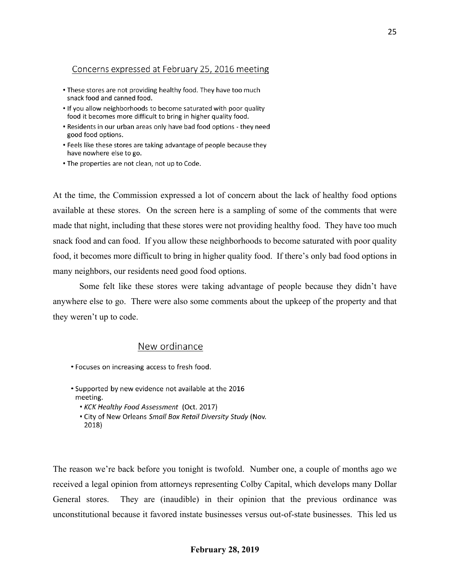### Concerns expressed at February 25, 2016 meeting

- . These stores are not providing healthy food. They have too much snack food and canned food.
- . If you allow neighborhoods to become saturated with poor quality food it becomes more difficult to bring in higher quality food.
- Residents in our urban areas only have bad food options they need good food options.
- Feels like these stores are taking advantage of people because they have nowhere else to go.
- . The properties are not clean, not up to Code.

At the time, the Commission expressed a lot of concern about the lack of healthy food options available at these stores. On the screen here is a sampling of some of the comments that were made that night, including that these stores were not providing healthy food. They have too much snack food and can food. If you allow these neighborhoods to become saturated with poor quality food, it becomes more difficult to bring in higher quality food. If there's only bad food options in many neighbors, our residents need good food options.

Some felt like these stores were taking advantage of people because they didn't have anywhere else to go. There were also some comments about the upkeep of the property and that they weren't up to code.

#### New ordinance

- Focuses on increasing access to fresh food.
- \* Supported by new evidence not available at the 2016 meeting.
	- KCK Healthy Food Assessment (Oct. 2017)
	- . City of New Orleans Small Box Retail Diversity Study (Nov. 2018)

The reason we're back before you tonight is twofold. Number one, a couple of months ago we received a legal opinion from attorneys representing Colby Capital, which develops many Dollar General stores. They are (inaudible) in their opinion that the previous ordinance was unconstitutional because it favored instate businesses versus out-of-state businesses. This led us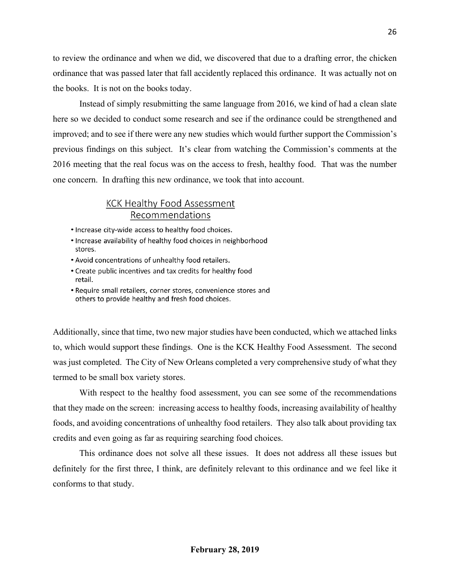to review the ordinance and when we did, we discovered that due to a drafting error, the chicken ordinance that was passed later that fall accidently replaced this ordinance. It was actually not on the books. It is not on the books today.

Instead of simply resubmitting the same language from 2016, we kind of had a clean slate here so we decided to conduct some research and see if the ordinance could be strengthened and improved; and to see if there were any new studies which would further support the Commission's previous findings on this subject. It's clear from watching the Commission's comments at the 2016 meeting that the real focus was on the access to fresh, healthy food. That was the number one concern. In drafting this new ordinance, we took that into account.

# **KCK Healthy Food Assessment** Recommendations

- Increase city-wide access to healthy food choices.
- Increase availability of healthy food choices in neighborhood stores.
- Avoid concentrations of unhealthy food retailers.
- Create public incentives and tax credits for healthy food retail.
- Require small retailers, corner stores, convenience stores and others to provide healthy and fresh food choices.

Additionally, since that time, two new major studies have been conducted, which we attached links to, which would support these findings. One is the KCK Healthy Food Assessment. The second was just completed. The City of New Orleans completed a very comprehensive study of what they termed to be small box variety stores.

With respect to the healthy food assessment, you can see some of the recommendations that they made on the screen: increasing access to healthy foods, increasing availability of healthy foods, and avoiding concentrations of unhealthy food retailers. They also talk about providing tax credits and even going as far as requiring searching food choices.

This ordinance does not solve all these issues. It does not address all these issues but definitely for the first three, I think, are definitely relevant to this ordinance and we feel like it conforms to that study.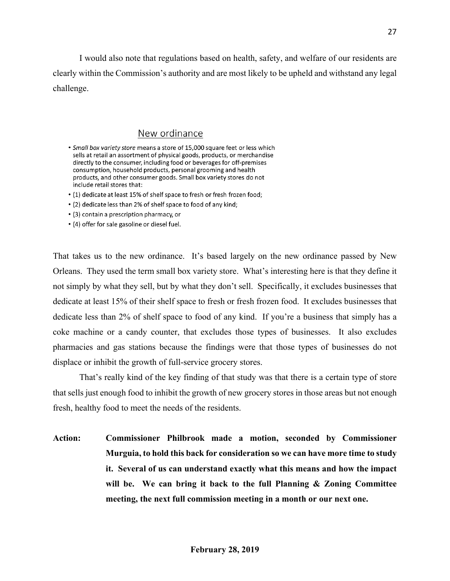I would also note that regulations based on health, safety, and welfare of our residents are clearly within the Commission's authority and are most likely to be upheld and withstand any legal challenge.

### New ordinance

- Small box variety store means a store of 15,000 square feet or less which sells at retail an assortment of physical goods, products, or merchandise directly to the consumer, including food or beverages for off-premises consumption, household products, personal grooming and health products, and other consumer goods. Small box variety stores do not include retail stores that:
- (1) dedicate at least 15% of shelf space to fresh or fresh frozen food;
- (2) dedicate less than 2% of shelf space to food of any kind;
- (3) contain a prescription pharmacy, or
- (4) offer for sale gasoline or diesel fuel.

That takes us to the new ordinance. It's based largely on the new ordinance passed by New Orleans. They used the term small box variety store. What's interesting here is that they define it not simply by what they sell, but by what they don't sell. Specifically, it excludes businesses that dedicate at least 15% of their shelf space to fresh or fresh frozen food. It excludes businesses that dedicate less than 2% of shelf space to food of any kind. If you're a business that simply has a coke machine or a candy counter, that excludes those types of businesses. It also excludes pharmacies and gas stations because the findings were that those types of businesses do not displace or inhibit the growth of full-service grocery stores.

That's really kind of the key finding of that study was that there is a certain type of store that sells just enough food to inhibit the growth of new grocery stores in those areas but not enough fresh, healthy food to meet the needs of the residents.

**Action: Commissioner Philbrook made a motion, seconded by Commissioner Murguia, to hold this back for consideration so we can have more time to study it. Several of us can understand exactly what this means and how the impact will be. We can bring it back to the full Planning & Zoning Committee meeting, the next full commission meeting in a month or our next one.**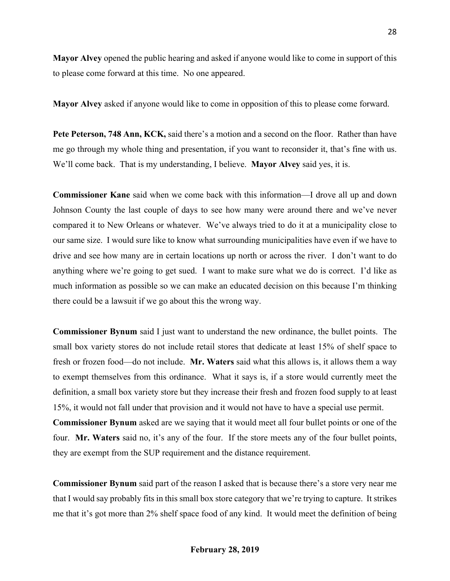**Mayor Alvey** opened the public hearing and asked if anyone would like to come in support of this to please come forward at this time. No one appeared.

**Mayor Alvey** asked if anyone would like to come in opposition of this to please come forward.

**Pete Peterson, 748 Ann, KCK,** said there's a motion and a second on the floor. Rather than have me go through my whole thing and presentation, if you want to reconsider it, that's fine with us. We'll come back. That is my understanding, I believe. **Mayor Alvey** said yes, it is.

**Commissioner Kane** said when we come back with this information—I drove all up and down Johnson County the last couple of days to see how many were around there and we've never compared it to New Orleans or whatever. We've always tried to do it at a municipality close to our same size. I would sure like to know what surrounding municipalities have even if we have to drive and see how many are in certain locations up north or across the river. I don't want to do anything where we're going to get sued. I want to make sure what we do is correct. I'd like as much information as possible so we can make an educated decision on this because I'm thinking there could be a lawsuit if we go about this the wrong way.

**Commissioner Bynum** said I just want to understand the new ordinance, the bullet points. The small box variety stores do not include retail stores that dedicate at least 15% of shelf space to fresh or frozen food—do not include. **Mr. Waters** said what this allows is, it allows them a way to exempt themselves from this ordinance. What it says is, if a store would currently meet the definition, a small box variety store but they increase their fresh and frozen food supply to at least 15%, it would not fall under that provision and it would not have to have a special use permit. **Commissioner Bynum** asked are we saying that it would meet all four bullet points or one of the four. **Mr. Waters** said no, it's any of the four. If the store meets any of the four bullet points, they are exempt from the SUP requirement and the distance requirement.

**Commissioner Bynum** said part of the reason I asked that is because there's a store very near me that I would say probably fits in this small box store category that we're trying to capture. It strikes me that it's got more than 2% shelf space food of any kind. It would meet the definition of being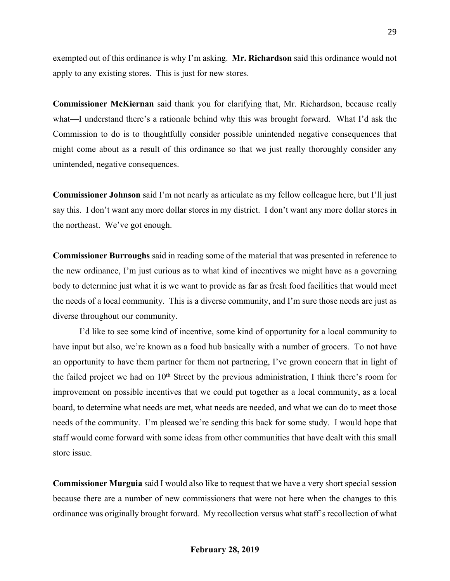exempted out of this ordinance is why I'm asking. **Mr. Richardson** said this ordinance would not apply to any existing stores. This is just for new stores.

**Commissioner McKiernan** said thank you for clarifying that, Mr. Richardson, because really what—I understand there's a rationale behind why this was brought forward. What I'd ask the Commission to do is to thoughtfully consider possible unintended negative consequences that might come about as a result of this ordinance so that we just really thoroughly consider any unintended, negative consequences.

**Commissioner Johnson** said I'm not nearly as articulate as my fellow colleague here, but I'll just say this. I don't want any more dollar stores in my district. I don't want any more dollar stores in the northeast. We've got enough.

**Commissioner Burroughs** said in reading some of the material that was presented in reference to the new ordinance, I'm just curious as to what kind of incentives we might have as a governing body to determine just what it is we want to provide as far as fresh food facilities that would meet the needs of a local community. This is a diverse community, and I'm sure those needs are just as diverse throughout our community.

I'd like to see some kind of incentive, some kind of opportunity for a local community to have input but also, we're known as a food hub basically with a number of grocers. To not have an opportunity to have them partner for them not partnering, I've grown concern that in light of the failed project we had on 10<sup>th</sup> Street by the previous administration, I think there's room for improvement on possible incentives that we could put together as a local community, as a local board, to determine what needs are met, what needs are needed, and what we can do to meet those needs of the community. I'm pleased we're sending this back for some study. I would hope that staff would come forward with some ideas from other communities that have dealt with this small store issue.

**Commissioner Murguia** said I would also like to request that we have a very short special session because there are a number of new commissioners that were not here when the changes to this ordinance was originally brought forward. My recollection versus what staff's recollection of what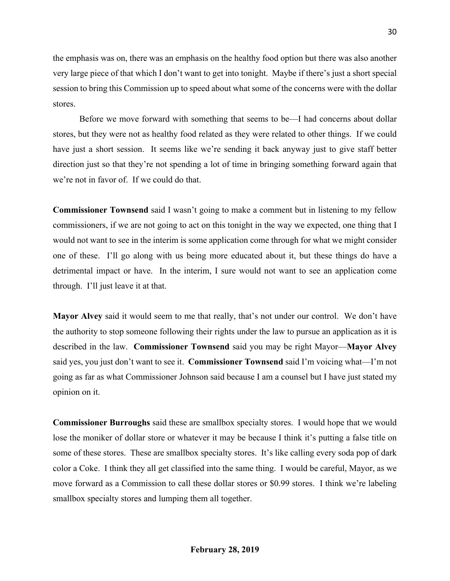the emphasis was on, there was an emphasis on the healthy food option but there was also another very large piece of that which I don't want to get into tonight. Maybe if there's just a short special session to bring this Commission up to speed about what some of the concerns were with the dollar stores.

Before we move forward with something that seems to be—I had concerns about dollar stores, but they were not as healthy food related as they were related to other things. If we could have just a short session. It seems like we're sending it back anyway just to give staff better direction just so that they're not spending a lot of time in bringing something forward again that we're not in favor of. If we could do that.

**Commissioner Townsend** said I wasn't going to make a comment but in listening to my fellow commissioners, if we are not going to act on this tonight in the way we expected, one thing that I would not want to see in the interim is some application come through for what we might consider one of these. I'll go along with us being more educated about it, but these things do have a detrimental impact or have. In the interim, I sure would not want to see an application come through. I'll just leave it at that.

**Mayor Alvey** said it would seem to me that really, that's not under our control. We don't have the authority to stop someone following their rights under the law to pursue an application as it is described in the law. **Commissioner Townsend** said you may be right Mayor—**Mayor Alvey** said yes, you just don't want to see it. **Commissioner Townsend** said I'm voicing what—I'm not going as far as what Commissioner Johnson said because I am a counsel but I have just stated my opinion on it.

**Commissioner Burroughs** said these are smallbox specialty stores. I would hope that we would lose the moniker of dollar store or whatever it may be because I think it's putting a false title on some of these stores. These are smallbox specialty stores. It's like calling every soda pop of dark color a Coke. I think they all get classified into the same thing. I would be careful, Mayor, as we move forward as a Commission to call these dollar stores or \$0.99 stores. I think we're labeling smallbox specialty stores and lumping them all together.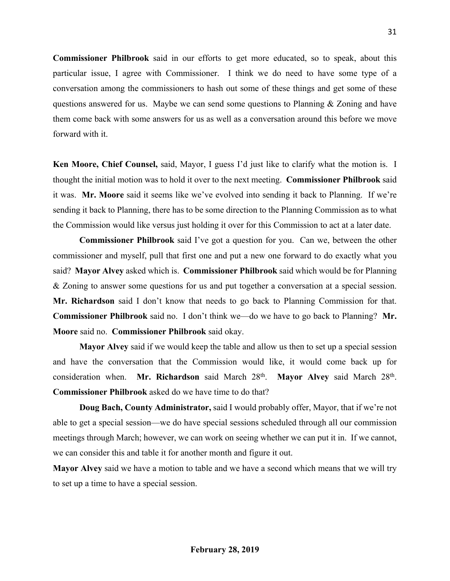**Commissioner Philbrook** said in our efforts to get more educated, so to speak, about this particular issue, I agree with Commissioner. I think we do need to have some type of a conversation among the commissioners to hash out some of these things and get some of these questions answered for us. Maybe we can send some questions to Planning & Zoning and have them come back with some answers for us as well as a conversation around this before we move forward with it.

**Ken Moore, Chief Counsel,** said, Mayor, I guess I'd just like to clarify what the motion is. I thought the initial motion was to hold it over to the next meeting. **Commissioner Philbrook** said it was. **Mr. Moore** said it seems like we've evolved into sending it back to Planning. If we're sending it back to Planning, there has to be some direction to the Planning Commission as to what the Commission would like versus just holding it over for this Commission to act at a later date.

**Commissioner Philbrook** said I've got a question for you. Can we, between the other commissioner and myself, pull that first one and put a new one forward to do exactly what you said? **Mayor Alvey** asked which is. **Commissioner Philbrook** said which would be for Planning & Zoning to answer some questions for us and put together a conversation at a special session. **Mr. Richardson** said I don't know that needs to go back to Planning Commission for that. **Commissioner Philbrook** said no. I don't think we—do we have to go back to Planning? **Mr. Moore** said no. **Commissioner Philbrook** said okay.

**Mayor Alvey** said if we would keep the table and allow us then to set up a special session and have the conversation that the Commission would like, it would come back up for consideration when. **Mr. Richardson** said March 28th . **Mayor Alvey** said March 28<sup>th</sup>. **Commissioner Philbrook** asked do we have time to do that?

**Doug Bach, County Administrator,** said I would probably offer, Mayor, that if we're not able to get a special session—we do have special sessions scheduled through all our commission meetings through March; however, we can work on seeing whether we can put it in. If we cannot, we can consider this and table it for another month and figure it out.

**Mayor Alvey** said we have a motion to table and we have a second which means that we will try to set up a time to have a special session.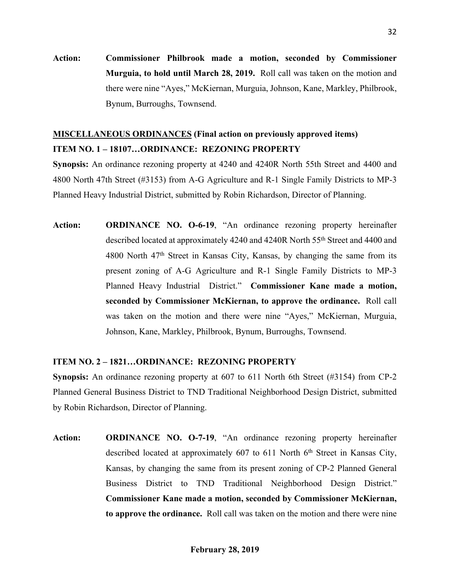**Action: Commissioner Philbrook made a motion, seconded by Commissioner Murguia, to hold until March 28, 2019.** Roll call was taken on the motion and there were nine "Ayes," McKiernan, Murguia, Johnson, Kane, Markley, Philbrook, Bynum, Burroughs, Townsend.

# **MISCELLANEOUS ORDINANCES (Final action on previously approved items) ITEM NO. 1 – 18107…ORDINANCE: REZONING PROPERTY**

**Synopsis:** An ordinance rezoning property at 4240 and 4240R North 55th Street and 4400 and 4800 North 47th Street (#3153) from A-G Agriculture and R-1 Single Family Districts to MP-3 Planned Heavy Industrial District, submitted by Robin Richardson, Director of Planning.

**Action: ORDINANCE NO. O-6-19**, "An ordinance rezoning property hereinafter described located at approximately 4240 and 4240R North 55th Street and 4400 and  $4800$  North  $47<sup>th</sup>$  Street in Kansas City, Kansas, by changing the same from its present zoning of A-G Agriculture and R-1 Single Family Districts to MP-3 Planned Heavy Industrial District." **Commissioner Kane made a motion, seconded by Commissioner McKiernan, to approve the ordinance.** Roll call was taken on the motion and there were nine "Ayes," McKiernan, Murguia, Johnson, Kane, Markley, Philbrook, Bynum, Burroughs, Townsend.

### **ITEM NO. 2 – 1821…ORDINANCE: REZONING PROPERTY**

**Synopsis:** An ordinance rezoning property at 607 to 611 North 6th Street (#3154) from CP-2 Planned General Business District to TND Traditional Neighborhood Design District, submitted by Robin Richardson, Director of Planning.

**Action: ORDINANCE NO. O-7-19**, "An ordinance rezoning property hereinafter described located at approximately 607 to 611 North 6<sup>th</sup> Street in Kansas City, Kansas, by changing the same from its present zoning of CP-2 Planned General Business District to TND Traditional Neighborhood Design District." **Commissioner Kane made a motion, seconded by Commissioner McKiernan, to approve the ordinance.** Roll call was taken on the motion and there were nine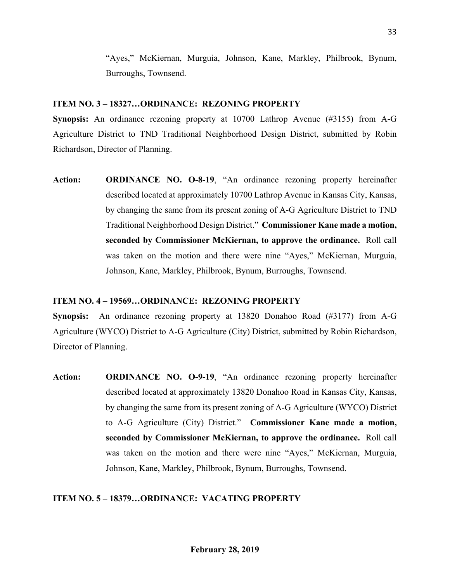"Ayes," McKiernan, Murguia, Johnson, Kane, Markley, Philbrook, Bynum, Burroughs, Townsend.

#### **ITEM NO. 3 – 18327…ORDINANCE: REZONING PROPERTY**

**Synopsis:** An ordinance rezoning property at 10700 Lathrop Avenue (#3155) from A-G Agriculture District to TND Traditional Neighborhood Design District, submitted by Robin Richardson, Director of Planning.

**Action: ORDINANCE NO. O-8-19**, "An ordinance rezoning property hereinafter described located at approximately 10700 Lathrop Avenue in Kansas City, Kansas, by changing the same from its present zoning of A-G Agriculture District to TND Traditional Neighborhood Design District." **Commissioner Kane made a motion, seconded by Commissioner McKiernan, to approve the ordinance.** Roll call was taken on the motion and there were nine "Ayes," McKiernan, Murguia, Johnson, Kane, Markley, Philbrook, Bynum, Burroughs, Townsend.

### **ITEM NO. 4 – 19569…ORDINANCE: REZONING PROPERTY**

**Synopsis:** An ordinance rezoning property at 13820 Donahoo Road (#3177) from A-G Agriculture (WYCO) District to A-G Agriculture (City) District, submitted by Robin Richardson, Director of Planning.

**Action: ORDINANCE NO. O-9-19**, "An ordinance rezoning property hereinafter described located at approximately 13820 Donahoo Road in Kansas City, Kansas, by changing the same from its present zoning of A-G Agriculture (WYCO) District to A-G Agriculture (City) District." **Commissioner Kane made a motion, seconded by Commissioner McKiernan, to approve the ordinance.** Roll call was taken on the motion and there were nine "Ayes," McKiernan, Murguia, Johnson, Kane, Markley, Philbrook, Bynum, Burroughs, Townsend.

### **ITEM NO. 5 – 18379…ORDINANCE: VACATING PROPERTY**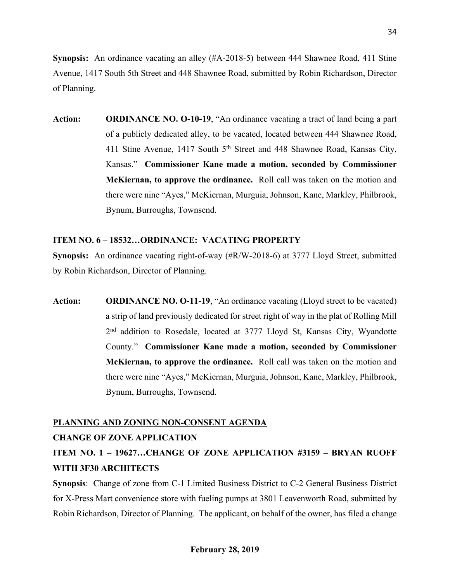**Synopsis:** An ordinance vacating an alley (#A-2018-5) between 444 Shawnee Road, 411 Stine Avenue, 1417 South 5th Street and 448 Shawnee Road, submitted by Robin Richardson, Director of Planning.

**Action: ORDINANCE NO. O-10-19**, "An ordinance vacating a tract of land being a part of a publicly dedicated alley, to be vacated, located between 444 Shawnee Road, 411 Stine Avenue, 1417 South 5<sup>th</sup> Street and 448 Shawnee Road, Kansas City, Kansas." **Commissioner Kane made a motion, seconded by Commissioner McKiernan, to approve the ordinance.** Roll call was taken on the motion and there were nine "Ayes," McKiernan, Murguia, Johnson, Kane, Markley, Philbrook, Bynum, Burroughs, Townsend.

### **ITEM NO. 6 – 18532…ORDINANCE: VACATING PROPERTY**

**Synopsis:** An ordinance vacating right-of-way (#R/W-2018-6) at 3777 Lloyd Street, submitted by Robin Richardson, Director of Planning.

**Action: ORDINANCE NO. O-11-19**, "An ordinance vacating (Lloyd street to be vacated) a strip of land previously dedicated for street right of way in the plat of Rolling Mill 2<sup>nd</sup> addition to Rosedale, located at 3777 Lloyd St, Kansas City, Wyandotte County." **Commissioner Kane made a motion, seconded by Commissioner McKiernan, to approve the ordinance.** Roll call was taken on the motion and there were nine "Ayes," McKiernan, Murguia, Johnson, Kane, Markley, Philbrook, Bynum, Burroughs, Townsend.

# **PLANNING AND ZONING NON-CONSENT AGENDA**

# **CHANGE OF ZONE APPLICATION**

# **ITEM NO. 1 – 19627…CHANGE OF ZONE APPLICATION #3159 – BRYAN RUOFF WITH 3F30 ARCHITECTS**

**Synopsis**: Change of zone from C-1 Limited Business District to C-2 General Business District for X-Press Mart convenience store with fueling pumps at 3801 Leavenworth Road, submitted by Robin Richardson, Director of Planning. The applicant, on behalf of the owner, has filed a change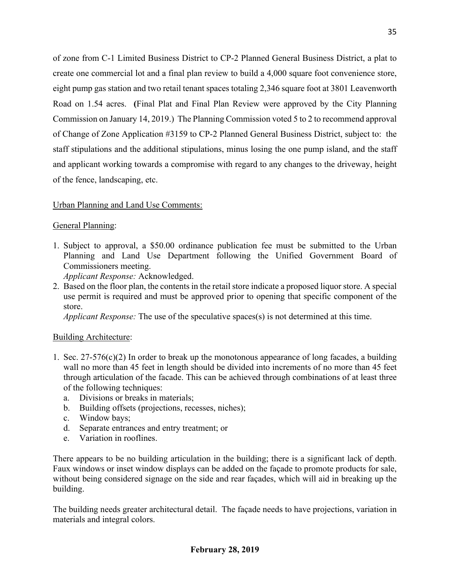of zone from C-1 Limited Business District to CP-2 Planned General Business District, a plat to create one commercial lot and a final plan review to build a 4,000 square foot convenience store, eight pump gas station and two retail tenant spaces totaling 2,346 square foot at 3801 Leavenworth Road on 1.54 acres. **(**Final Plat and Final Plan Review were approved by the City Planning Commission on January 14, 2019.) The Planning Commission voted 5 to 2 to recommend approval of Change of Zone Application #3159 to CP-2 Planned General Business District, subject to: the staff stipulations and the additional stipulations, minus losing the one pump island, and the staff and applicant working towards a compromise with regard to any changes to the driveway, height of the fence, landscaping, etc.

### Urban Planning and Land Use Comments:

### General Planning:

1. Subject to approval, a \$50.00 ordinance publication fee must be submitted to the Urban Planning and Land Use Department following the Unified Government Board of Commissioners meeting.

*Applicant Response:* Acknowledged.

2. Based on the floor plan, the contents in the retail store indicate a proposed liquor store. A special use permit is required and must be approved prior to opening that specific component of the store.

*Applicant Response:* The use of the speculative spaces(s) is not determined at this time.

### Building Architecture:

- 1. Sec.  $27-576(c)(2)$  In order to break up the monotonous appearance of long facades, a building wall no more than 45 feet in length should be divided into increments of no more than 45 feet through articulation of the facade. This can be achieved through combinations of at least three of the following techniques:
	- a. Divisions or breaks in materials;
	- b. Building offsets (projections, recesses, niches);
	- c. Window bays;
	- d. Separate entrances and entry treatment; or
	- e. Variation in rooflines.

There appears to be no building articulation in the building; there is a significant lack of depth. Faux windows or inset window displays can be added on the façade to promote products for sale, without being considered signage on the side and rear façades, which will aid in breaking up the building.

The building needs greater architectural detail. The façade needs to have projections, variation in materials and integral colors.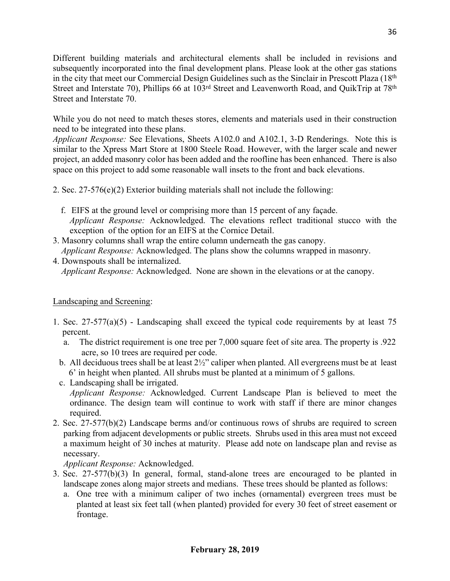Different building materials and architectural elements shall be included in revisions and subsequently incorporated into the final development plans. Please look at the other gas stations in the city that meet our Commercial Design Guidelines such as the Sinclair in Prescott Plaza (18<sup>th</sup>) Street and Interstate 70), Phillips 66 at 103<sup>rd</sup> Street and Leavenworth Road, and QuikTrip at 78<sup>th</sup> Street and Interstate 70.

While you do not need to match theses stores, elements and materials used in their construction need to be integrated into these plans.

*Applicant Response:* See Elevations, Sheets A102.0 and A102.1, 3-D Renderings. Note this is similar to the Xpress Mart Store at 1800 Steele Road. However, with the larger scale and newer project, an added masonry color has been added and the roofline has been enhanced. There is also space on this project to add some reasonable wall insets to the front and back elevations.

2. Sec. 27-576(e)(2) Exterior building materials shall not include the following:

- f. EIFS at the ground level or comprising more than 15 percent of any façade. *Applicant Response:* Acknowledged. The elevations reflect traditional stucco with the exception of the option for an EIFS at the Cornice Detail.
- 3. Masonry columns shall wrap the entire column underneath the gas canopy. *Applicant Response:* Acknowledged. The plans show the columns wrapped in masonry.
- 4. Downspouts shall be internalized. *Applicant Response:* Acknowledged. None are shown in the elevations or at the canopy.

# Landscaping and Screening:

- 1. Sec. 27-577(a)(5) Landscaping shall exceed the typical code requirements by at least 75 percent.
	- a. The district requirement is one tree per 7,000 square feet of site area. The property is .922 acre, so 10 trees are required per code.
	- b. All deciduous trees shall be at least 2½" caliper when planted. All evergreens must be at least 6' in height when planted. All shrubs must be planted at a minimum of 5 gallons.
	- c. Landscaping shall be irrigated.

*Applicant Response:* Acknowledged. Current Landscape Plan is believed to meet the ordinance. The design team will continue to work with staff if there are minor changes required.

2. Sec. 27-577(b)(2) Landscape berms and/or continuous rows of shrubs are required to screen parking from adjacent developments or public streets. Shrubs used in this area must not exceed a maximum height of 30 inches at maturity. Please add note on landscape plan and revise as necessary.

*Applicant Response:* Acknowledged.

- 3. Sec. 27-577(b)(3) In general, formal, stand-alone trees are encouraged to be planted in landscape zones along major streets and medians. These trees should be planted as follows:
	- a. One tree with a minimum caliper of two inches (ornamental) evergreen trees must be planted at least six feet tall (when planted) provided for every 30 feet of street easement or frontage.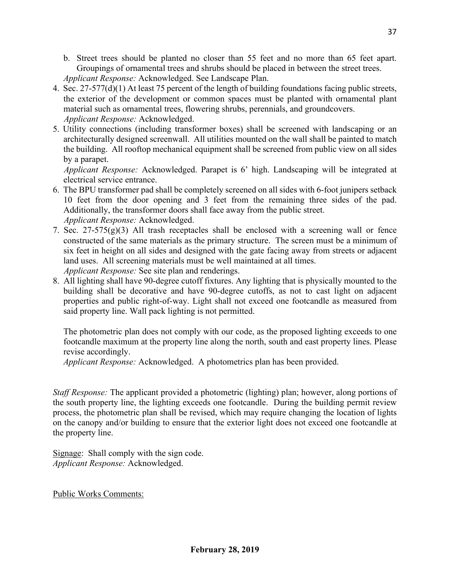- b. Street trees should be planted no closer than 55 feet and no more than 65 feet apart. Groupings of ornamental trees and shrubs should be placed in between the street trees. *Applicant Response:* Acknowledged. See Landscape Plan.
- 4. Sec. 27-577(d)(1) At least 75 percent of the length of building foundations facing public streets, the exterior of the development or common spaces must be planted with ornamental plant material such as ornamental trees, flowering shrubs, perennials, and groundcovers.  *Applicant Response:* Acknowledged.
- 5. Utility connections (including transformer boxes) shall be screened with landscaping or an architecturally designed screenwall. All utilities mounted on the wall shall be painted to match the building. All rooftop mechanical equipment shall be screened from public view on all sides by a parapet.

 *Applicant Response:* Acknowledged. Parapet is 6' high. Landscaping will be integrated at electrical service entrance.

- 6. The BPU transformer pad shall be completely screened on all sides with 6-foot junipers setback 10 feet from the door opening and 3 feet from the remaining three sides of the pad. Additionally, the transformer doors shall face away from the public street.  *Applicant Response:* Acknowledged.
- 7. Sec.  $27-575(g)(3)$  All trash receptacles shall be enclosed with a screening wall or fence constructed of the same materials as the primary structure. The screen must be a minimum of six feet in height on all sides and designed with the gate facing away from streets or adjacent land uses. All screening materials must be well maintained at all times.  *Applicant Response:* See site plan and renderings.
- 8. All lighting shall have 90-degree cutoff fixtures. Any lighting that is physically mounted to the building shall be decorative and have 90-degree cutoffs, as not to cast light on adjacent properties and public right-of-way. Light shall not exceed one footcandle as measured from said property line. Wall pack lighting is not permitted.

The photometric plan does not comply with our code, as the proposed lighting exceeds to one footcandle maximum at the property line along the north, south and east property lines. Please revise accordingly.

*Applicant Response:* Acknowledged. A photometrics plan has been provided.

*Staff Response:* The applicant provided a photometric (lighting) plan; however, along portions of the south property line, the lighting exceeds one footcandle. During the building permit review process, the photometric plan shall be revised, which may require changing the location of lights on the canopy and/or building to ensure that the exterior light does not exceed one footcandle at the property line.

Signage: Shall comply with the sign code. *Applicant Response:* Acknowledged.

Public Works Comments: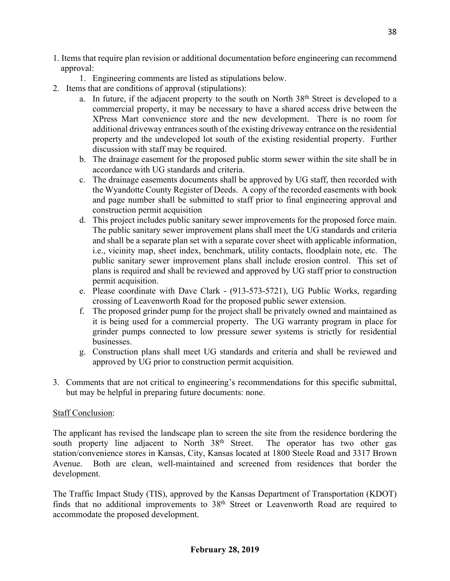- 1. Items that require plan revision or additional documentation before engineering can recommend approval:
	- 1. Engineering comments are listed as stipulations below.
- 2. Items that are conditions of approval (stipulations):
	- a. In future, if the adjacent property to the south on North 38<sup>th</sup> Street is developed to a commercial property, it may be necessary to have a shared access drive between the XPress Mart convenience store and the new development. There is no room for additional driveway entrances south of the existing driveway entrance on the residential property and the undeveloped lot south of the existing residential property. Further discussion with staff may be required.
	- b. The drainage easement for the proposed public storm sewer within the site shall be in accordance with UG standards and criteria.
	- c. The drainage easements documents shall be approved by UG staff, then recorded with the Wyandotte County Register of Deeds. A copy of the recorded easements with book and page number shall be submitted to staff prior to final engineering approval and construction permit acquisition
	- d. This project includes public sanitary sewer improvements for the proposed force main. The public sanitary sewer improvement plans shall meet the UG standards and criteria and shall be a separate plan set with a separate cover sheet with applicable information, i.e., vicinity map, sheet index, benchmark, utility contacts, floodplain note, etc. The public sanitary sewer improvement plans shall include erosion control. This set of plans is required and shall be reviewed and approved by UG staff prior to construction permit acquisition.
	- e. Please coordinate with Dave Clark (913-573-5721), UG Public Works, regarding crossing of Leavenworth Road for the proposed public sewer extension.
	- f. The proposed grinder pump for the project shall be privately owned and maintained as it is being used for a commercial property. The UG warranty program in place for grinder pumps connected to low pressure sewer systems is strictly for residential businesses.
	- g. Construction plans shall meet UG standards and criteria and shall be reviewed and approved by UG prior to construction permit acquisition.
- 3. Comments that are not critical to engineering's recommendations for this specific submittal, but may be helpful in preparing future documents: none.

### Staff Conclusion:

The applicant has revised the landscape plan to screen the site from the residence bordering the south property line adjacent to North 38<sup>th</sup> Street. The operator has two other gas station/convenience stores in Kansas, City, Kansas located at 1800 Steele Road and 3317 Brown Avenue. Both are clean, well-maintained and screened from residences that border the development.

The Traffic Impact Study (TIS), approved by the Kansas Department of Transportation (KDOT) finds that no additional improvements to 38<sup>th</sup> Street or Leavenworth Road are required to accommodate the proposed development.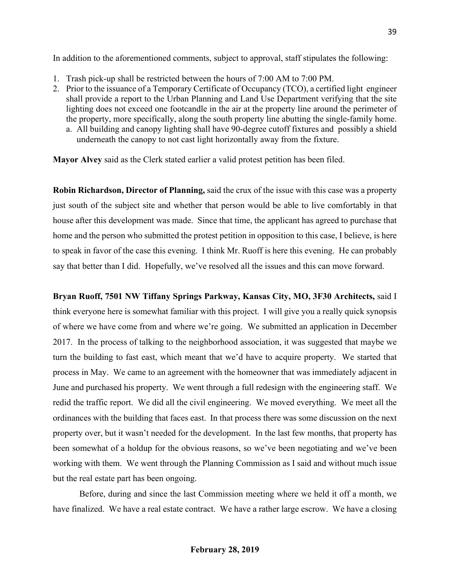In addition to the aforementioned comments, subject to approval, staff stipulates the following:

- 1. Trash pick-up shall be restricted between the hours of 7:00 AM to 7:00 PM.
- 2. Prior to the issuance of a Temporary Certificate of Occupancy (TCO), a certified light engineer shall provide a report to the Urban Planning and Land Use Department verifying that the site lighting does not exceed one footcandle in the air at the property line around the perimeter of the property, more specifically, along the south property line abutting the single-family home. a. All building and canopy lighting shall have 90-degree cutoff fixtures and possibly a shield underneath the canopy to not cast light horizontally away from the fixture.

**Mayor Alvey** said as the Clerk stated earlier a valid protest petition has been filed.

**Robin Richardson, Director of Planning,** said the crux of the issue with this case was a property just south of the subject site and whether that person would be able to live comfortably in that house after this development was made. Since that time, the applicant has agreed to purchase that home and the person who submitted the protest petition in opposition to this case, I believe, is here to speak in favor of the case this evening. I think Mr. Ruoff is here this evening. He can probably say that better than I did. Hopefully, we've resolved all the issues and this can move forward.

**Bryan Ruoff, 7501 NW Tiffany Springs Parkway, Kansas City, MO, 3F30 Architects,** said I think everyone here is somewhat familiar with this project. I will give you a really quick synopsis of where we have come from and where we're going. We submitted an application in December 2017. In the process of talking to the neighborhood association, it was suggested that maybe we turn the building to fast east, which meant that we'd have to acquire property. We started that process in May. We came to an agreement with the homeowner that was immediately adjacent in June and purchased his property. We went through a full redesign with the engineering staff. We redid the traffic report. We did all the civil engineering. We moved everything. We meet all the ordinances with the building that faces east. In that process there was some discussion on the next property over, but it wasn't needed for the development. In the last few months, that property has been somewhat of a holdup for the obvious reasons, so we've been negotiating and we've been working with them. We went through the Planning Commission as I said and without much issue but the real estate part has been ongoing.

Before, during and since the last Commission meeting where we held it off a month, we have finalized. We have a real estate contract. We have a rather large escrow. We have a closing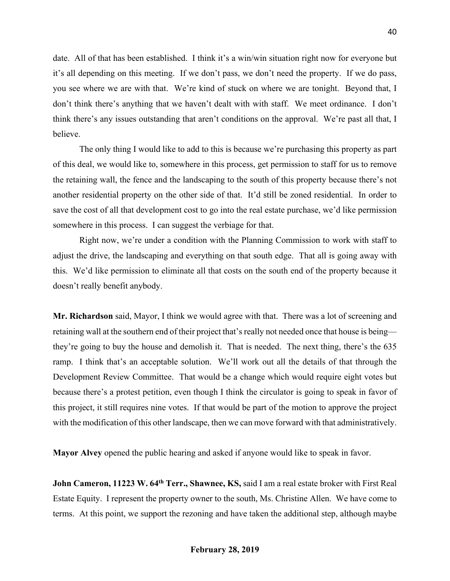date. All of that has been established. I think it's a win/win situation right now for everyone but it's all depending on this meeting. If we don't pass, we don't need the property. If we do pass, you see where we are with that. We're kind of stuck on where we are tonight. Beyond that, I don't think there's anything that we haven't dealt with with staff. We meet ordinance. I don't think there's any issues outstanding that aren't conditions on the approval. We're past all that, I believe.

The only thing I would like to add to this is because we're purchasing this property as part of this deal, we would like to, somewhere in this process, get permission to staff for us to remove the retaining wall, the fence and the landscaping to the south of this property because there's not another residential property on the other side of that. It'd still be zoned residential. In order to save the cost of all that development cost to go into the real estate purchase, we'd like permission somewhere in this process. I can suggest the verbiage for that.

Right now, we're under a condition with the Planning Commission to work with staff to adjust the drive, the landscaping and everything on that south edge. That all is going away with this. We'd like permission to eliminate all that costs on the south end of the property because it doesn't really benefit anybody.

**Mr. Richardson** said, Mayor, I think we would agree with that. There was a lot of screening and retaining wall at the southern end of their project that's really not needed once that house is being they're going to buy the house and demolish it. That is needed. The next thing, there's the 635 ramp. I think that's an acceptable solution. We'll work out all the details of that through the Development Review Committee. That would be a change which would require eight votes but because there's a protest petition, even though I think the circulator is going to speak in favor of this project, it still requires nine votes. If that would be part of the motion to approve the project with the modification of this other landscape, then we can move forward with that administratively.

**Mayor Alvey** opened the public hearing and asked if anyone would like to speak in favor.

**John Cameron, 11223 W. 64th Terr., Shawnee, KS,** said I am a real estate broker with First Real Estate Equity. I represent the property owner to the south, Ms. Christine Allen. We have come to terms. At this point, we support the rezoning and have taken the additional step, although maybe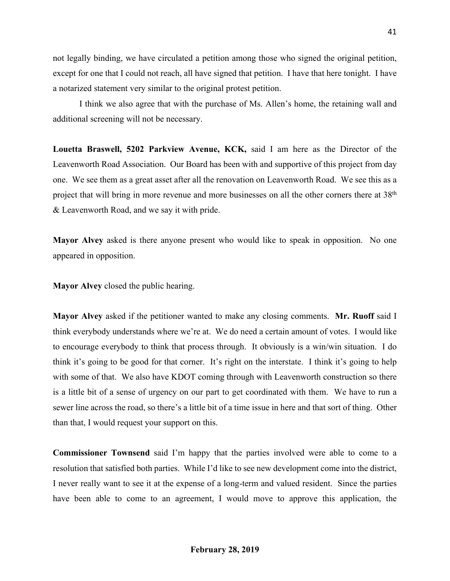not legally binding, we have circulated a petition among those who signed the original petition, except for one that I could not reach, all have signed that petition. I have that here tonight. I have a notarized statement very similar to the original protest petition.

I think we also agree that with the purchase of Ms. Allen's home, the retaining wall and additional screening will not be necessary.

**Louetta Braswell, 5202 Parkview Avenue, KCK,** said I am here as the Director of the Leavenworth Road Association. Our Board has been with and supportive of this project from day one. We see them as a great asset after all the renovation on Leavenworth Road. We see this as a project that will bring in more revenue and more businesses on all the other corners there at 38th & Leavenworth Road, and we say it with pride.

**Mayor Alvey** asked is there anyone present who would like to speak in opposition. No one appeared in opposition.

**Mayor Alvey** closed the public hearing.

**Mayor Alvey** asked if the petitioner wanted to make any closing comments. **Mr. Ruoff** said I think everybody understands where we're at. We do need a certain amount of votes. I would like to encourage everybody to think that process through. It obviously is a win/win situation. I do think it's going to be good for that corner. It's right on the interstate. I think it's going to help with some of that. We also have KDOT coming through with Leavenworth construction so there is a little bit of a sense of urgency on our part to get coordinated with them. We have to run a sewer line across the road, so there's a little bit of a time issue in here and that sort of thing. Other than that, I would request your support on this.

**Commissioner Townsend** said I'm happy that the parties involved were able to come to a resolution that satisfied both parties. While I'd like to see new development come into the district, I never really want to see it at the expense of a long-term and valued resident. Since the parties have been able to come to an agreement, I would move to approve this application, the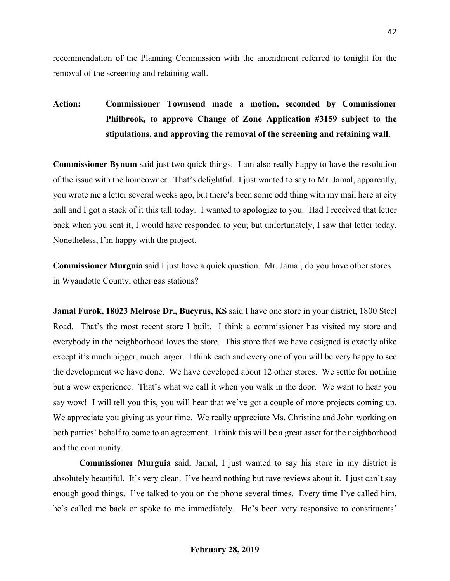recommendation of the Planning Commission with the amendment referred to tonight for the removal of the screening and retaining wall.

**Action: Commissioner Townsend made a motion, seconded by Commissioner Philbrook, to approve Change of Zone Application #3159 subject to the stipulations, and approving the removal of the screening and retaining wall.**

**Commissioner Bynum** said just two quick things. I am also really happy to have the resolution of the issue with the homeowner. That's delightful. I just wanted to say to Mr. Jamal, apparently, you wrote me a letter several weeks ago, but there's been some odd thing with my mail here at city hall and I got a stack of it this tall today. I wanted to apologize to you. Had I received that letter back when you sent it, I would have responded to you; but unfortunately, I saw that letter today. Nonetheless, I'm happy with the project.

**Commissioner Murguia** said I just have a quick question. Mr. Jamal, do you have other stores in Wyandotte County, other gas stations?

**Jamal Furok, 18023 Melrose Dr., Bucyrus, KS** said I have one store in your district, 1800 Steel Road. That's the most recent store I built. I think a commissioner has visited my store and everybody in the neighborhood loves the store. This store that we have designed is exactly alike except it's much bigger, much larger. I think each and every one of you will be very happy to see the development we have done. We have developed about 12 other stores. We settle for nothing but a wow experience. That's what we call it when you walk in the door. We want to hear you say wow! I will tell you this, you will hear that we've got a couple of more projects coming up. We appreciate you giving us your time. We really appreciate Ms. Christine and John working on both parties' behalf to come to an agreement. I think this will be a great asset for the neighborhood and the community.

**Commissioner Murguia** said, Jamal, I just wanted to say his store in my district is absolutely beautiful. It's very clean. I've heard nothing but rave reviews about it. I just can't say enough good things. I've talked to you on the phone several times. Every time I've called him, he's called me back or spoke to me immediately. He's been very responsive to constituents'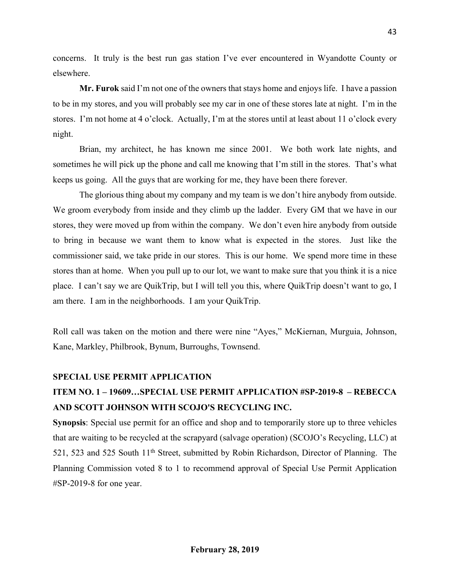concerns. It truly is the best run gas station I've ever encountered in Wyandotte County or elsewhere.

**Mr. Furok** said I'm not one of the owners that stays home and enjoys life. I have a passion to be in my stores, and you will probably see my car in one of these stores late at night. I'm in the stores. I'm not home at 4 o'clock. Actually, I'm at the stores until at least about 11 o'clock every night.

Brian, my architect, he has known me since 2001. We both work late nights, and sometimes he will pick up the phone and call me knowing that I'm still in the stores. That's what keeps us going. All the guys that are working for me, they have been there forever.

The glorious thing about my company and my team is we don't hire anybody from outside. We groom everybody from inside and they climb up the ladder. Every GM that we have in our stores, they were moved up from within the company. We don't even hire anybody from outside to bring in because we want them to know what is expected in the stores. Just like the commissioner said, we take pride in our stores. This is our home. We spend more time in these stores than at home. When you pull up to our lot, we want to make sure that you think it is a nice place. I can't say we are QuikTrip, but I will tell you this, where QuikTrip doesn't want to go, I am there. I am in the neighborhoods. I am your QuikTrip.

Roll call was taken on the motion and there were nine "Ayes," McKiernan, Murguia, Johnson, Kane, Markley, Philbrook, Bynum, Burroughs, Townsend.

#### **SPECIAL USE PERMIT APPLICATION**

# **ITEM NO. 1 – 19609…SPECIAL USE PERMIT APPLICATION #SP-2019-8 – REBECCA AND SCOTT JOHNSON WITH SCOJO'S RECYCLING INC.**

**Synopsis**: Special use permit for an office and shop and to temporarily store up to three vehicles that are waiting to be recycled at the scrapyard (salvage operation) (SCOJO's Recycling, LLC) at 521, 523 and 525 South 11th Street, submitted by Robin Richardson, Director of Planning. The Planning Commission voted 8 to 1 to recommend approval of Special Use Permit Application #SP-2019-8 for one year.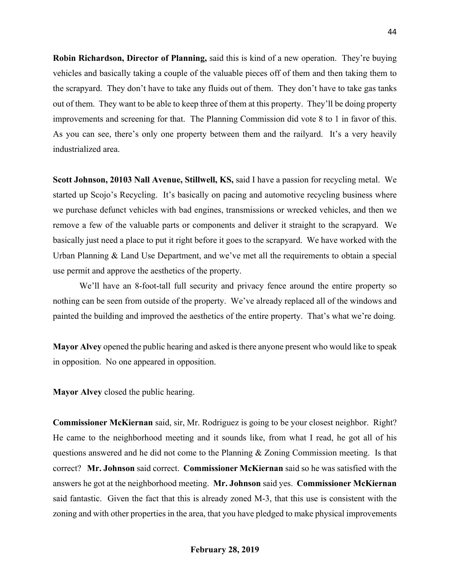**Robin Richardson, Director of Planning,** said this is kind of a new operation. They're buying vehicles and basically taking a couple of the valuable pieces off of them and then taking them to the scrapyard. They don't have to take any fluids out of them. They don't have to take gas tanks out of them. They want to be able to keep three of them at this property. They'll be doing property improvements and screening for that. The Planning Commission did vote 8 to 1 in favor of this. As you can see, there's only one property between them and the railyard. It's a very heavily industrialized area.

**Scott Johnson, 20103 Nall Avenue, Stillwell, KS,** said I have a passion for recycling metal. We started up Scojo's Recycling. It's basically on pacing and automotive recycling business where we purchase defunct vehicles with bad engines, transmissions or wrecked vehicles, and then we remove a few of the valuable parts or components and deliver it straight to the scrapyard. We basically just need a place to put it right before it goes to the scrapyard. We have worked with the Urban Planning & Land Use Department, and we've met all the requirements to obtain a special use permit and approve the aesthetics of the property.

We'll have an 8-foot-tall full security and privacy fence around the entire property so nothing can be seen from outside of the property. We've already replaced all of the windows and painted the building and improved the aesthetics of the entire property. That's what we're doing.

**Mayor Alvey** opened the public hearing and asked is there anyone present who would like to speak in opposition. No one appeared in opposition.

**Mayor Alvey** closed the public hearing.

**Commissioner McKiernan** said, sir, Mr. Rodriguez is going to be your closest neighbor. Right? He came to the neighborhood meeting and it sounds like, from what I read, he got all of his questions answered and he did not come to the Planning & Zoning Commission meeting. Is that correct? **Mr. Johnson** said correct. **Commissioner McKiernan** said so he was satisfied with the answers he got at the neighborhood meeting. **Mr. Johnson** said yes. **Commissioner McKiernan** said fantastic. Given the fact that this is already zoned M-3, that this use is consistent with the zoning and with other properties in the area, that you have pledged to make physical improvements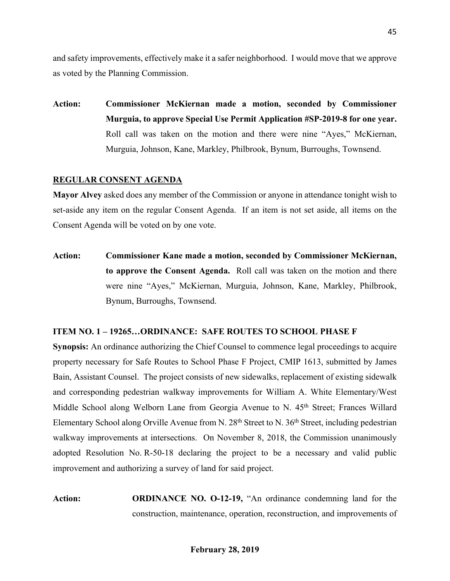and safety improvements, effectively make it a safer neighborhood. I would move that we approve as voted by the Planning Commission.

**Action: Commissioner McKiernan made a motion, seconded by Commissioner Murguia, to approve Special Use Permit Application #SP-2019-8 for one year.** Roll call was taken on the motion and there were nine "Ayes," McKiernan, Murguia, Johnson, Kane, Markley, Philbrook, Bynum, Burroughs, Townsend.

#### **REGULAR CONSENT AGENDA**

**Mayor Alvey** asked does any member of the Commission or anyone in attendance tonight wish to set-aside any item on the regular Consent Agenda. If an item is not set aside, all items on the Consent Agenda will be voted on by one vote.

**Action: Commissioner Kane made a motion, seconded by Commissioner McKiernan, to approve the Consent Agenda.** Roll call was taken on the motion and there were nine "Ayes," McKiernan, Murguia, Johnson, Kane, Markley, Philbrook, Bynum, Burroughs, Townsend.

#### **ITEM NO. 1 – 19265…ORDINANCE: SAFE ROUTES TO SCHOOL PHASE F**

**Synopsis:** An ordinance authorizing the Chief Counsel to commence legal proceedings to acquire property necessary for Safe Routes to School Phase F Project, CMIP 1613, submitted by James Bain, Assistant Counsel. The project consists of new sidewalks, replacement of existing sidewalk and corresponding pedestrian walkway improvements for William A. White Elementary/West Middle School along Welborn Lane from Georgia Avenue to N. 45<sup>th</sup> Street; Frances Willard Elementary School along Orville Avenue from N. 28<sup>th</sup> Street to N. 36<sup>th</sup> Street, including pedestrian walkway improvements at intersections. On November 8, 2018, the Commission unanimously adopted Resolution No. R-50-18 declaring the project to be a necessary and valid public improvement and authorizing a survey of land for said project.

**Action: ORDINANCE NO. O-12-19,** "An ordinance condemning land for the construction, maintenance, operation, reconstruction, and improvements of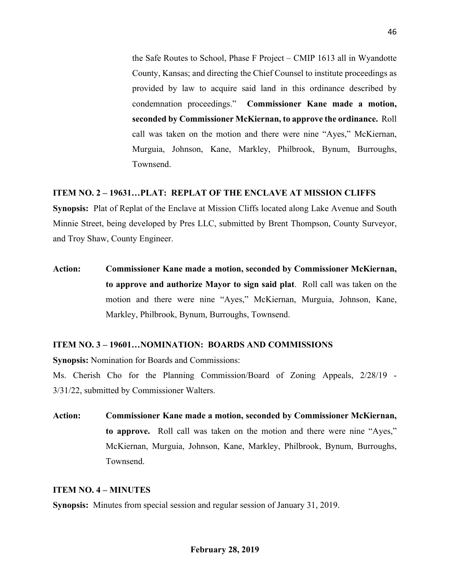the Safe Routes to School, Phase F Project – CMIP 1613 all in Wyandotte County, Kansas; and directing the Chief Counsel to institute proceedings as provided by law to acquire said land in this ordinance described by condemnation proceedings." **Commissioner Kane made a motion, seconded by Commissioner McKiernan, to approve the ordinance.** Roll call was taken on the motion and there were nine "Ayes," McKiernan, Murguia, Johnson, Kane, Markley, Philbrook, Bynum, Burroughs, Townsend.

#### **ITEM NO. 2 – 19631…PLAT: REPLAT OF THE ENCLAVE AT MISSION CLIFFS**

**Synopsis:** Plat of Replat of the Enclave at Mission Cliffs located along Lake Avenue and South Minnie Street, being developed by Pres LLC, submitted by Brent Thompson, County Surveyor, and Troy Shaw, County Engineer.

**Action: Commissioner Kane made a motion, seconded by Commissioner McKiernan, to approve and authorize Mayor to sign said plat**. Roll call was taken on the motion and there were nine "Ayes," McKiernan, Murguia, Johnson, Kane, Markley, Philbrook, Bynum, Burroughs, Townsend.

#### **ITEM NO. 3 – 19601…NOMINATION: BOARDS AND COMMISSIONS**

**Synopsis:** Nomination for Boards and Commissions:

Ms. Cherish Cho for the Planning Commission/Board of Zoning Appeals, 2/28/19 - 3/31/22, submitted by Commissioner Walters.

**Action: Commissioner Kane made a motion, seconded by Commissioner McKiernan, to approve.** Roll call was taken on the motion and there were nine "Ayes," McKiernan, Murguia, Johnson, Kane, Markley, Philbrook, Bynum, Burroughs, Townsend.

#### **ITEM NO. 4 – MINUTES**

**Synopsis:** Minutes from special session and regular session of January 31, 2019.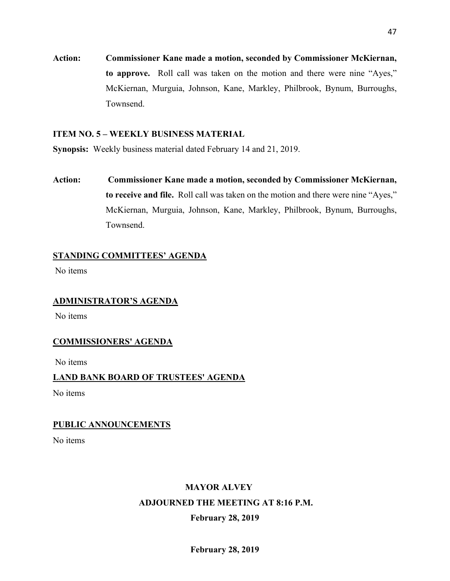**Action: Commissioner Kane made a motion, seconded by Commissioner McKiernan, to approve.** Roll call was taken on the motion and there were nine "Ayes," McKiernan, Murguia, Johnson, Kane, Markley, Philbrook, Bynum, Burroughs, Townsend.

### **ITEM NO. 5 – WEEKLY BUSINESS MATERIAL**

**Synopsis:** Weekly business material dated February 14 and 21, 2019.

**Action: Commissioner Kane made a motion, seconded by Commissioner McKiernan, to receive and file.** Roll call was taken on the motion and there were nine "Ayes," McKiernan, Murguia, Johnson, Kane, Markley, Philbrook, Bynum, Burroughs, Townsend.

# **STANDING COMMITTEES' AGENDA**

No items

# **ADMINISTRATOR'S AGENDA**

No items

# **COMMISSIONERS' AGENDA**

No items

# **LAND BANK BOARD OF TRUSTEES' AGENDA**

No items

### **PUBLIC ANNOUNCEMENTS**

No items

# **MAYOR ALVEY**

### **ADJOURNED THE MEETING AT 8:16 P.M.**

# **February 28, 2019**

47

**February 28, 2019**